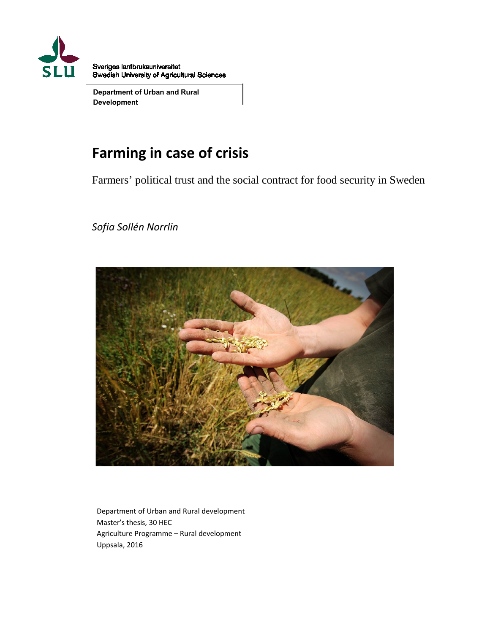

Sveriges lantbruksuniversitet Swedish University of Agricultural Sciences

**Department of Urban and Rural Development** 

# **Farming in case of crisis**

Farmers' political trust and the social contract for food security in Sweden

## *Sofia Sollén Norrlin*



Department of Urban and Rural development Master's thesis, 30 HEC Agriculture Programme – Rural development Uppsala, 2016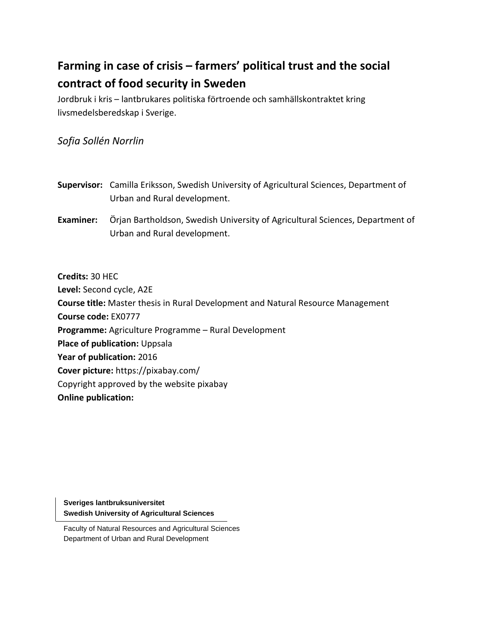# **Farming in case of crisis – farmers' political trust and the social contract of food security in Sweden**

Jordbruk i kris – lantbrukares politiska förtroende och samhällskontraktet kring livsmedelsberedskap i Sverige.

*Sofia Sollén Norrlin*

- **Supervisor:** Camilla Eriksson, Swedish University of Agricultural Sciences, Department of Urban and Rural development.
- **Examiner:** Örjan Bartholdson, Swedish University of Agricultural Sciences, Department of Urban and Rural development.

**Credits:** 30 HEC **Level:** Second cycle, A2E **Course title:** Master thesis in Rural Development and Natural Resource Management **Course code:** EX0777 **Programme:** Agriculture Programme – Rural Development **Place of publication:** Uppsala **Year of publication:** 2016 **Cover picture:** https://pixabay.com/ Copyright approved by the website pixabay **Online publication: WEXBEX6X?** 

**Keywords:** Farmers, social contract, political trust, responsibility, food security, cooperation, crisis preparedness, civil defense.

**Sveriges lantbruksuniversitet Swedish University of Agricultural Sciences**

Faculty of Natural Resources and Agricultural Sciences Department of Urban and Rural Development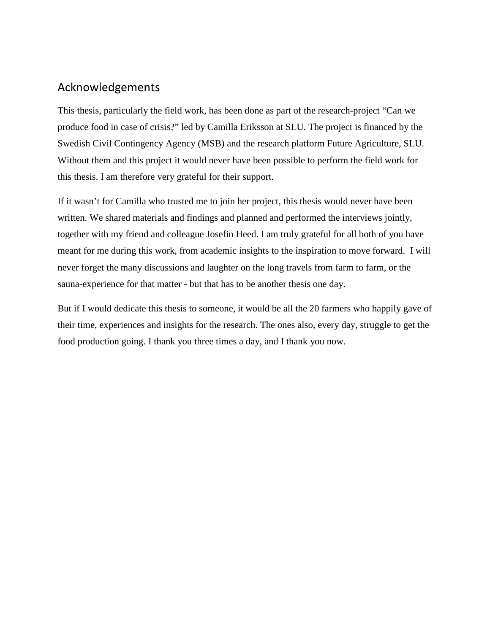## Acknowledgements

This thesis, particularly the field work, has been done as part of the research-project "Can we produce food in case of crisis?" led by Camilla Eriksson at SLU. The project is financed by the Swedish Civil Contingency Agency (MSB) and the research platform Future Agriculture, SLU. Without them and this project it would never have been possible to perform the field work for this thesis. I am therefore very grateful for their support.

If it wasn't for Camilla who trusted me to join her project, this thesis would never have been written. We shared materials and findings and planned and performed the interviews jointly, together with my friend and colleague Josefin Heed. I am truly grateful for all both of you have meant for me during this work, from academic insights to the inspiration to move forward. I will never forget the many discussions and laughter on the long travels from farm to farm, or the sauna-experience for that matter - but that has to be another thesis one day.

But if I would dedicate this thesis to someone, it would be all the 20 farmers who happily gave of their time, experiences and insights for the research. The ones also, every day, struggle to get the food production going. I thank you three times a day, and I thank you now.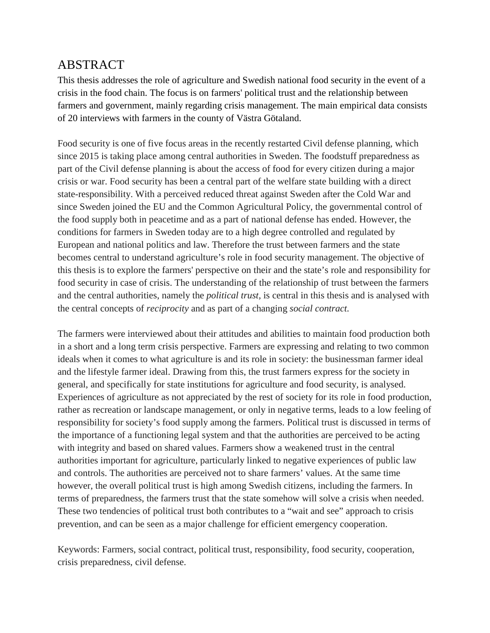## ABSTRACT

This thesis addresses the role of agriculture and Swedish national food security in the event of a crisis in the food chain. The focus is on farmers' political trust and the relationship between farmers and government, mainly regarding crisis management. The main empirical data consists of 20 interviews with farmers in the county of Västra Götaland.

Food security is one of five focus areas in the recently restarted Civil defense planning, which since 2015 is taking place among central authorities in Sweden. The foodstuff preparedness as part of the Civil defense planning is about the access of food for every citizen during a major crisis or war. Food security has been a central part of the welfare state building with a direct state-responsibility. With a perceived reduced threat against Sweden after the Cold War and since Sweden joined the EU and the Common Agricultural Policy, the governmental control of the food supply both in peacetime and as a part of national defense has ended. However, the conditions for farmers in Sweden today are to a high degree controlled and regulated by European and national politics and law. Therefore the trust between farmers and the state becomes central to understand agriculture's role in food security management. The objective of this thesis is to explore the farmers' perspective on their and the state's role and responsibility for food security in case of crisis. The understanding of the relationship of trust between the farmers and the central authorities, namely the *political trust,* is central in this thesis and is analysed with the central concepts of *reciprocity* and as part of a changing *social contract.*

The farmers were interviewed about their attitudes and abilities to maintain food production both in a short and a long term crisis perspective. Farmers are expressing and relating to two common ideals when it comes to what agriculture is and its role in society: the businessman farmer ideal and the lifestyle farmer ideal. Drawing from this, the trust farmers express for the society in general, and specifically for state institutions for agriculture and food security, is analysed. Experiences of agriculture as not appreciated by the rest of society for its role in food production, rather as recreation or landscape management, or only in negative terms, leads to a low feeling of responsibility for society's food supply among the farmers. Political trust is discussed in terms of the importance of a functioning legal system and that the authorities are perceived to be acting with integrity and based on shared values. Farmers show a weakened trust in the central authorities important for agriculture, particularly linked to negative experiences of public law and controls. The authorities are perceived not to share farmers' values. At the same time however, the overall political trust is high among Swedish citizens, including the farmers. In terms of preparedness, the farmers trust that the state somehow will solve a crisis when needed. These two tendencies of political trust both contributes to a "wait and see" approach to crisis prevention, and can be seen as a major challenge for efficient emergency cooperation.

Keywords: Farmers, social contract, political trust, responsibility, food security, cooperation, crisis preparedness, civil defense.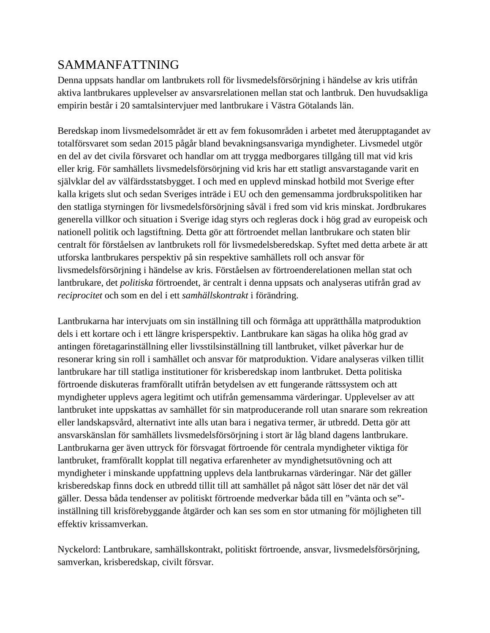## SAMMANFATTNING

Denna uppsats handlar om lantbrukets roll för livsmedelsförsörjning i händelse av kris utifrån aktiva lantbrukares upplevelser av ansvarsrelationen mellan stat och lantbruk. Den huvudsakliga empirin består i 20 samtalsintervjuer med lantbrukare i Västra Götalands län.

Beredskap inom livsmedelsområdet är ett av fem fokusområden i arbetet med återupptagandet av totalförsvaret som sedan 2015 pågår bland bevakningsansvariga myndigheter. Livsmedel utgör en del av det civila försvaret och handlar om att trygga medborgares tillgång till mat vid kris eller krig. För samhällets livsmedelsförsörjning vid kris har ett statligt ansvarstagande varit en självklar del av välfärdsstatsbygget. I och med en upplevd minskad hotbild mot Sverige efter kalla krigets slut och sedan Sveriges inträde i EU och den gemensamma jordbrukspolitiken har den statliga styrningen för livsmedelsförsörjning såväl i fred som vid kris minskat. Jordbrukares generella villkor och situation i Sverige idag styrs och regleras dock i hög grad av europeisk och nationell politik och lagstiftning. Detta gör att förtroendet mellan lantbrukare och staten blir centralt för förståelsen av lantbrukets roll för livsmedelsberedskap. Syftet med detta arbete är att utforska lantbrukares perspektiv på sin respektive samhällets roll och ansvar för livsmedelsförsörjning i händelse av kris. Förståelsen av förtroenderelationen mellan stat och lantbrukare, det *politiska* förtroendet, är centralt i denna uppsats och analyseras utifrån grad av *reciprocitet* och som en del i ett *samhällskontrakt* i förändring.

Lantbrukarna har intervjuats om sin inställning till och förmåga att upprätthålla matproduktion dels i ett kortare och i ett längre krisperspektiv. Lantbrukare kan sägas ha olika hög grad av antingen företagarinställning eller livsstilsinställning till lantbruket, vilket påverkar hur de resonerar kring sin roll i samhället och ansvar för matproduktion. Vidare analyseras vilken tillit lantbrukare har till statliga institutioner för krisberedskap inom lantbruket. Detta politiska förtroende diskuteras framförallt utifrån betydelsen av ett fungerande rättssystem och att myndigheter upplevs agera legitimt och utifrån gemensamma värderingar. Upplevelser av att lantbruket inte uppskattas av samhället för sin matproducerande roll utan snarare som rekreation eller landskapsvård, alternativt inte alls utan bara i negativa termer, är utbredd. Detta gör att ansvarskänslan för samhällets livsmedelsförsörjning i stort är låg bland dagens lantbrukare. Lantbrukarna ger även uttryck för försvagat förtroende för centrala myndigheter viktiga för lantbruket, framförallt kopplat till negativa erfarenheter av myndighetsutövning och att myndigheter i minskande uppfattning upplevs dela lantbrukarnas värderingar. När det gäller krisberedskap finns dock en utbredd tillit till att samhället på något sätt löser det när det väl gäller. Dessa båda tendenser av politiskt förtroende medverkar båda till en "vänta och se" inställning till krisförebyggande åtgärder och kan ses som en stor utmaning för möjligheten till effektiv krissamverkan.

Nyckelord: Lantbrukare, samhällskontrakt, politiskt förtroende, ansvar, livsmedelsförsörjning, samverkan, krisberedskap, civilt försvar.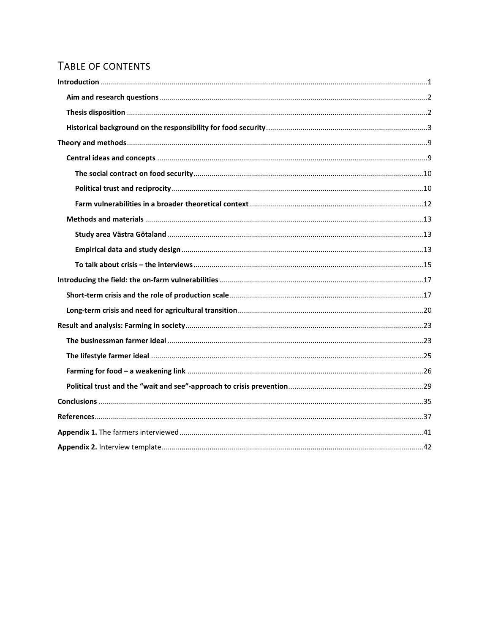## TABLE OF CONTENTS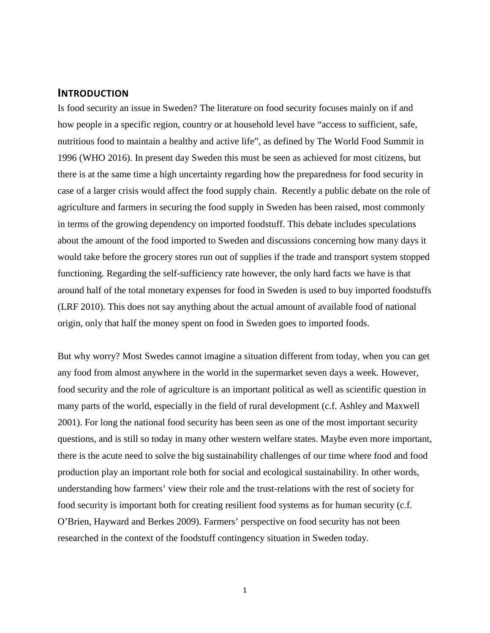#### <span id="page-6-0"></span>**INTRODUCTION**

Is food security an issue in Sweden? The literature on food security focuses mainly on if and how people in a specific region, country or at household level have "access to sufficient, safe, nutritious food to maintain a healthy and active life", as defined by The World Food Summit in 1996 (WHO 2016). In present day Sweden this must be seen as achieved for most citizens, but there is at the same time a high uncertainty regarding how the preparedness for food security in case of a larger crisis would affect the food supply chain. Recently a public debate on the role of agriculture and farmers in securing the food supply in Sweden has been raised, most commonly in terms of the growing dependency on imported foodstuff. This debate includes speculations about the amount of the food imported to Sweden and discussions concerning how many days it would take before the grocery stores run out of supplies if the trade and transport system stopped functioning. Regarding the self-sufficiency rate however, the only hard facts we have is that around half of the total monetary expenses for food in Sweden is used to buy imported foodstuffs (LRF 2010). This does not say anything about the actual amount of available food of national origin, only that half the money spent on food in Sweden goes to imported foods.

But why worry? Most Swedes cannot imagine a situation different from today, when you can get any food from almost anywhere in the world in the supermarket seven days a week. However, food security and the role of agriculture is an important political as well as scientific question in many parts of the world, especially in the field of rural development (c.f. Ashley and Maxwell 2001). For long the national food security has been seen as one of the most important security questions, and is still so today in many other western welfare states. Maybe even more important, there is the acute need to solve the big sustainability challenges of our time where food and food production play an important role both for social and ecological sustainability. In other words, understanding how farmers' view their role and the trust-relations with the rest of society for food security is important both for creating resilient food systems as for human security (c.f. O'Brien, Hayward and Berkes 2009). Farmers' perspective on food security has not been researched in the context of the foodstuff contingency situation in Sweden today.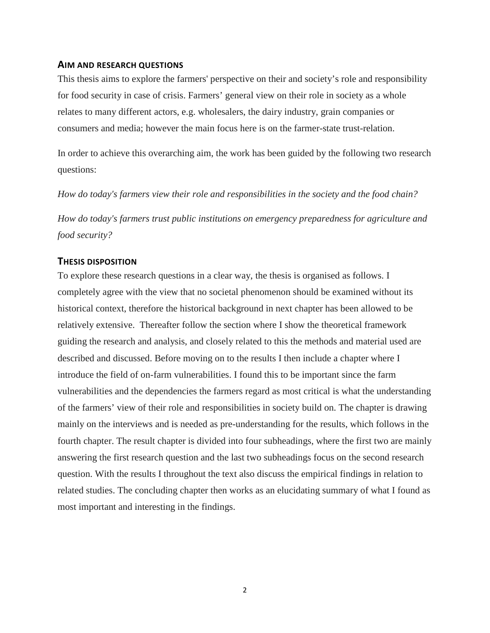#### <span id="page-7-0"></span>**AIM AND RESEARCH QUESTIONS**

This thesis aims to explore the farmers' perspective on their and society's role and responsibility for food security in case of crisis. Farmers' general view on their role in society as a whole relates to many different actors, e.g. wholesalers, the dairy industry, grain companies or consumers and media; however the main focus here is on the farmer-state trust-relation.

In order to achieve this overarching aim, the work has been guided by the following two research questions:

*How do today's farmers view their role and responsibilities in the society and the food chain?* 

*How do today's farmers trust public institutions on emergency preparedness for agriculture and food security?*

#### <span id="page-7-1"></span>**THESIS DISPOSITION**

To explore these research questions in a clear way, the thesis is organised as follows. I completely agree with the view that no societal phenomenon should be examined without its historical context, therefore the historical background in next chapter has been allowed to be relatively extensive. Thereafter follow the section where I show the theoretical framework guiding the research and analysis, and closely related to this the methods and material used are described and discussed. Before moving on to the results I then include a chapter where I introduce the field of on-farm vulnerabilities. I found this to be important since the farm vulnerabilities and the dependencies the farmers regard as most critical is what the understanding of the farmers' view of their role and responsibilities in society build on. The chapter is drawing mainly on the interviews and is needed as pre-understanding for the results, which follows in the fourth chapter. The result chapter is divided into four subheadings, where the first two are mainly answering the first research question and the last two subheadings focus on the second research question. With the results I throughout the text also discuss the empirical findings in relation to related studies. The concluding chapter then works as an elucidating summary of what I found as most important and interesting in the findings.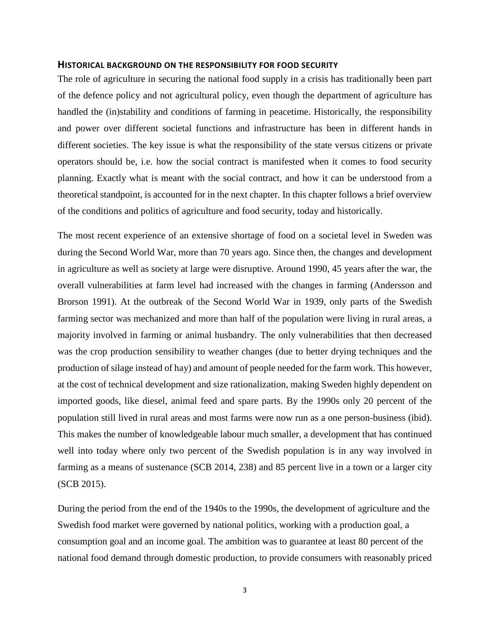#### <span id="page-8-0"></span>**HISTORICAL BACKGROUND ON THE RESPONSIBILITY FOR FOOD SECURITY**

The role of agriculture in securing the national food supply in a crisis has traditionally been part of the defence policy and not agricultural policy, even though the department of agriculture has handled the (in)stability and conditions of farming in peacetime. Historically, the responsibility and power over different societal functions and infrastructure has been in different hands in different societies. The key issue is what the responsibility of the state versus citizens or private operators should be, i.e. how the social contract is manifested when it comes to food security planning. Exactly what is meant with the social contract, and how it can be understood from a theoretical standpoint, is accounted for in the next chapter. In this chapter follows a brief overview of the conditions and politics of agriculture and food security, today and historically.

The most recent experience of an extensive shortage of food on a societal level in Sweden was during the Second World War, more than 70 years ago. Since then, the changes and development in agriculture as well as society at large were disruptive. Around 1990, 45 years after the war, the overall vulnerabilities at farm level had increased with the changes in farming (Andersson and Brorson 1991). At the outbreak of the Second World War in 1939, only parts of the Swedish farming sector was mechanized and more than half of the population were living in rural areas, a majority involved in farming or animal husbandry. The only vulnerabilities that then decreased was the crop production sensibility to weather changes (due to better drying techniques and the production of silage instead of hay) and amount of people needed for the farm work. This however, at the cost of technical development and size rationalization, making Sweden highly dependent on imported goods, like diesel, animal feed and spare parts. By the 1990s only 20 percent of the population still lived in rural areas and most farms were now run as a one person-business (ibid). This makes the number of knowledgeable labour much smaller, a development that has continued well into today where only two percent of the Swedish population is in any way involved in farming as a means of sustenance (SCB 2014, 238) and 85 percent live in a town or a larger city (SCB 2015).

During the period from the end of the 1940s to the 1990s, the development of agriculture and the Swedish food market were governed by national politics, working with a production goal, a consumption goal and an income goal. The ambition was to guarantee at least 80 percent of the national food demand through domestic production, to provide consumers with reasonably priced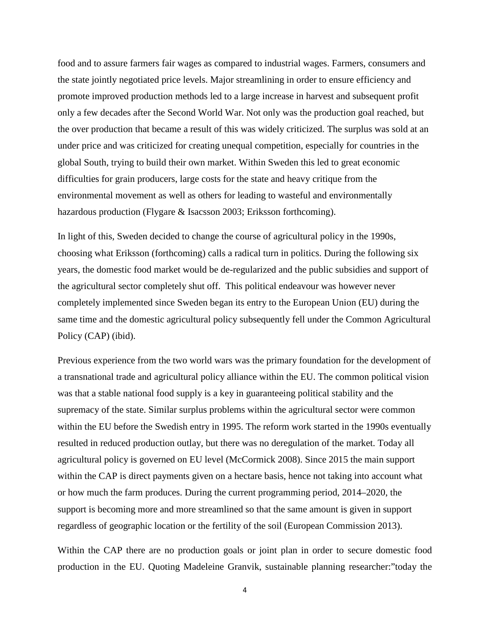food and to assure farmers fair wages as compared to industrial wages. Farmers, consumers and the state jointly negotiated price levels. Major streamlining in order to ensure efficiency and promote improved production methods led to a large increase in harvest and subsequent profit only a few decades after the Second World War. Not only was the production goal reached, but the over production that became a result of this was widely criticized. The surplus was sold at an under price and was criticized for creating unequal competition, especially for countries in the global South, trying to build their own market. Within Sweden this led to great economic difficulties for grain producers, large costs for the state and heavy critique from the environmental movement as well as others for leading to wasteful and environmentally hazardous production (Flygare & Isacsson 2003; Eriksson forthcoming).

In light of this, Sweden decided to change the course of agricultural policy in the 1990s, choosing what Eriksson (forthcoming) calls a radical turn in politics. During the following six years, the domestic food market would be de-regularized and the public subsidies and support of the agricultural sector completely shut off. This political endeavour was however never completely implemented since Sweden began its entry to the European Union (EU) during the same time and the domestic agricultural policy subsequently fell under the Common Agricultural Policy (CAP) (ibid).

Previous experience from the two world wars was the primary foundation for the development of a transnational trade and agricultural policy alliance within the EU. The common political vision was that a stable national food supply is a key in guaranteeing political stability and the supremacy of the state. Similar surplus problems within the agricultural sector were common within the EU before the Swedish entry in 1995. The reform work started in the 1990s eventually resulted in reduced production outlay, but there was no deregulation of the market. Today all agricultural policy is governed on EU level (McCormick 2008). Since 2015 the main support within the CAP is direct payments given on a hectare basis, hence not taking into account what or how much the farm produces. During the current programming period, 2014–2020, the support is becoming more and more streamlined so that the same amount is given in support regardless of geographic location or the fertility of the soil (European Commission 2013).

Within the CAP there are no production goals or joint plan in order to secure domestic food production in the EU. Quoting Madeleine Granvik, sustainable planning researcher:"today the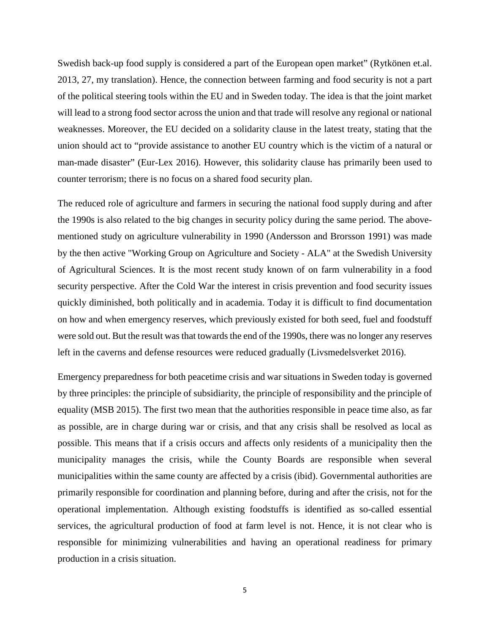Swedish back-up food supply is considered a part of the European open market" (Rytkönen et.al. 2013, 27, my translation). Hence, the connection between farming and food security is not a part of the political steering tools within the EU and in Sweden today. The idea is that the joint market will lead to a strong food sector across the union and that trade will resolve any regional or national weaknesses. Moreover, the EU decided on a solidarity clause in the latest treaty, stating that the union should act to "provide assistance to another EU country which is the victim of a natural or man-made disaster" (Eur-Lex 2016). However, this solidarity clause has primarily been used to counter terrorism; there is no focus on a shared food security plan.

The reduced role of agriculture and farmers in securing the national food supply during and after the 1990s is also related to the big changes in security policy during the same period. The abovementioned study on agriculture vulnerability in 1990 (Andersson and Brorsson 1991) was made by the then active "Working Group on Agriculture and Society - ALA" at the Swedish University of Agricultural Sciences. It is the most recent study known of on farm vulnerability in a food security perspective. After the Cold War the interest in crisis prevention and food security issues quickly diminished, both politically and in academia. Today it is difficult to find documentation on how and when emergency reserves, which previously existed for both seed, fuel and foodstuff were sold out. But the result was that towards the end of the 1990s, there was no longer any reserves left in the caverns and defense resources were reduced gradually (Livsmedelsverket 2016).

Emergency preparedness for both peacetime crisis and war situations in Sweden today is governed by three principles: the principle of subsidiarity, the principle of responsibility and the principle of equality (MSB 2015). The first two mean that the authorities responsible in peace time also, as far as possible, are in charge during war or crisis, and that any crisis shall be resolved as local as possible. This means that if a crisis occurs and affects only residents of a municipality then the municipality manages the crisis, while the County Boards are responsible when several municipalities within the same county are affected by a crisis (ibid). Governmental authorities are primarily responsible for coordination and planning before, during and after the crisis, not for the operational implementation. Although existing foodstuffs is identified as so-called essential services, the agricultural production of food at farm level is not. Hence, it is not clear who is responsible for minimizing vulnerabilities and having an operational readiness for primary production in a crisis situation.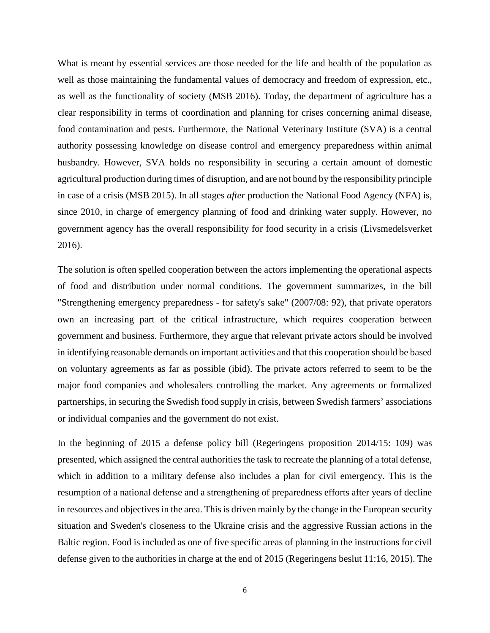What is meant by essential services are those needed for the life and health of the population as well as those maintaining the fundamental values of democracy and freedom of expression, etc., as well as the functionality of society (MSB 2016). Today, the department of agriculture has a clear responsibility in terms of coordination and planning for crises concerning animal disease, food contamination and pests. Furthermore, the National Veterinary Institute (SVA) is a central authority possessing knowledge on disease control and emergency preparedness within animal husbandry. However, SVA holds no responsibility in securing a certain amount of domestic agricultural production during times of disruption, and are not bound by the responsibility principle in case of a crisis (MSB 2015). In all stages *after* production the National Food Agency (NFA) is, since 2010, in charge of emergency planning of food and drinking water supply. However, no government agency has the overall responsibility for food security in a crisis (Livsmedelsverket 2016).

The solution is often spelled cooperation between the actors implementing the operational aspects of food and distribution under normal conditions. The government summarizes, in the bill "Strengthening emergency preparedness - for safety's sake" (2007/08: 92), that private operators own an increasing part of the critical infrastructure, which requires cooperation between government and business. Furthermore, they argue that relevant private actors should be involved in identifying reasonable demands on important activities and that this cooperation should be based on voluntary agreements as far as possible (ibid). The private actors referred to seem to be the major food companies and wholesalers controlling the market. Any agreements or formalized partnerships, in securing the Swedish food supply in crisis, between Swedish farmers' associations or individual companies and the government do not exist.

In the beginning of 2015 a defense policy bill (Regeringens proposition 2014/15: 109) was presented, which assigned the central authorities the task to recreate the planning of a total defense, which in addition to a military defense also includes a plan for civil emergency. This is the resumption of a national defense and a strengthening of preparedness efforts after years of decline in resources and objectives in the area. This is driven mainly by the change in the European security situation and Sweden's closeness to the Ukraine crisis and the aggressive Russian actions in the Baltic region. Food is included as one of five specific areas of planning in the instructions for civil defense given to the authorities in charge at the end of 2015 (Regeringens beslut 11:16, 2015). The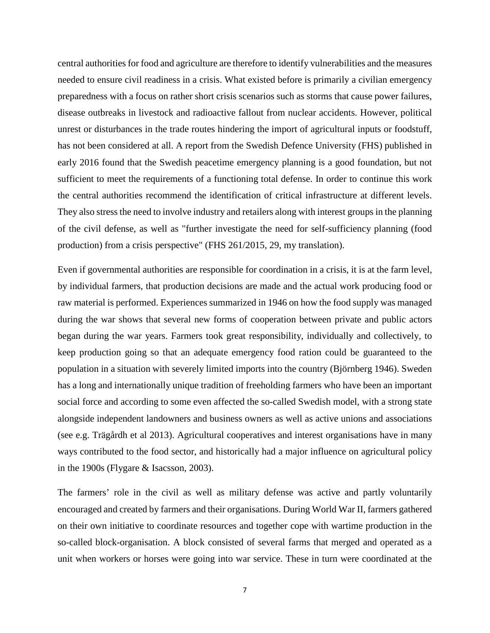central authorities for food and agriculture are therefore to identify vulnerabilities and the measures needed to ensure civil readiness in a crisis. What existed before is primarily a civilian emergency preparedness with a focus on rather short crisis scenarios such as storms that cause power failures, disease outbreaks in livestock and radioactive fallout from nuclear accidents. However, political unrest or disturbances in the trade routes hindering the import of agricultural inputs or foodstuff, has not been considered at all. A report from the Swedish Defence University (FHS) published in early 2016 found that the Swedish peacetime emergency planning is a good foundation, but not sufficient to meet the requirements of a functioning total defense. In order to continue this work the central authorities recommend the identification of critical infrastructure at different levels. They also stress the need to involve industry and retailers along with interest groups in the planning of the civil defense, as well as "further investigate the need for self-sufficiency planning (food production) from a crisis perspective" (FHS 261/2015, 29, my translation).

Even if governmental authorities are responsible for coordination in a crisis, it is at the farm level, by individual farmers, that production decisions are made and the actual work producing food or raw material is performed. Experiences summarized in 1946 on how the food supply was managed during the war shows that several new forms of cooperation between private and public actors began during the war years. Farmers took great responsibility, individually and collectively, to keep production going so that an adequate emergency food ration could be guaranteed to the population in a situation with severely limited imports into the country (Björnberg 1946). Sweden has a long and internationally unique tradition of freeholding farmers who have been an important social force and according to some even affected the so-called Swedish model, with a strong state alongside independent landowners and business owners as well as active unions and associations (see e.g. Trägårdh et al 2013). Agricultural cooperatives and interest organisations have in many ways contributed to the food sector, and historically had a major influence on agricultural policy in the 1900s (Flygare & Isacsson, 2003).

The farmers' role in the civil as well as military defense was active and partly voluntarily encouraged and created by farmers and their organisations. During World War II, farmers gathered on their own initiative to coordinate resources and together cope with wartime production in the so-called block-organisation. A block consisted of several farms that merged and operated as a unit when workers or horses were going into war service. These in turn were coordinated at the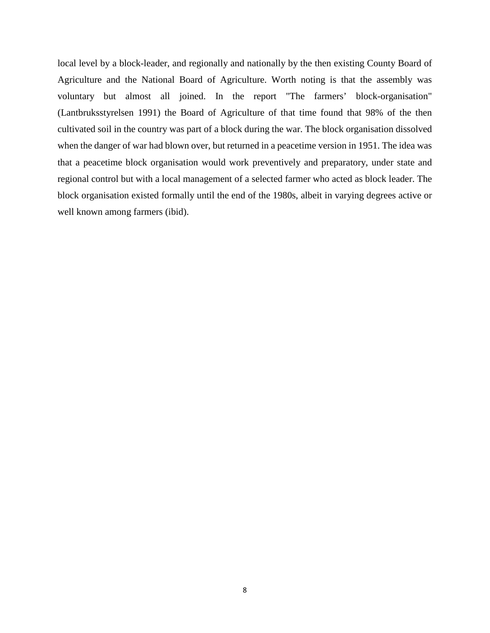local level by a block-leader, and regionally and nationally by the then existing County Board of Agriculture and the National Board of Agriculture. Worth noting is that the assembly was voluntary but almost all joined. In the report "The farmers' block-organisation" (Lantbruksstyrelsen 1991) the Board of Agriculture of that time found that 98% of the then cultivated soil in the country was part of a block during the war. The block organisation dissolved when the danger of war had blown over, but returned in a peacetime version in 1951. The idea was that a peacetime block organisation would work preventively and preparatory, under state and regional control but with a local management of a selected farmer who acted as block leader. The block organisation existed formally until the end of the 1980s, albeit in varying degrees active or well known among farmers (ibid).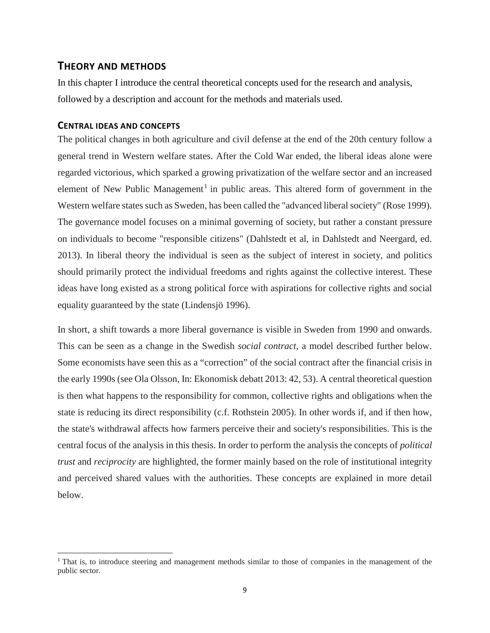#### <span id="page-14-0"></span>**THEORY AND METHODS**

In this chapter I introduce the central theoretical concepts used for the research and analysis, followed by a description and account for the methods and materials used.

#### <span id="page-14-1"></span>**CENTRAL IDEAS AND CONCEPTS**

 $\overline{a}$ 

The political changes in both agriculture and civil defense at the end of the 20th century follow a general trend in Western welfare states. After the Cold War ended, the liberal ideas alone were regarded victorious, which sparked a growing privatization of the welfare sector and an increased element of New Public Management<sup>[1](#page-14-2)</sup> in public areas. This altered form of government in the Western welfare states such as Sweden, has been called the "advanced liberal society" (Rose 1999). The governance model focuses on a minimal governing of society, but rather a constant pressure on individuals to become "responsible citizens" (Dahlstedt et al, in Dahlstedt and Neergard, ed. 2013). In liberal theory the individual is seen as the subject of interest in society, and politics should primarily protect the individual freedoms and rights against the collective interest. These ideas have long existed as a strong political force with aspirations for collective rights and social equality guaranteed by the state (Lindensjö 1996).

In short, a shift towards a more liberal governance is visible in Sweden from 1990 and onwards. This can be seen as a change in the Swedish *social contract*, a model described further below. Some economists have seen this as a "correction" of the social contract after the financial crisis in the early 1990s (see Ola Olsson, In: Ekonomisk debatt 2013: 42, 53). A central theoretical question is then what happens to the responsibility for common, collective rights and obligations when the state is reducing its direct responsibility (c.f. Rothstein 2005). In other words if, and if then how, the state's withdrawal affects how farmers perceive their and society's responsibilities. This is the central focus of the analysis in this thesis. In order to perform the analysis the concepts of *political trust* and *reciprocity* are highlighted, the former mainly based on the role of institutional integrity and perceived shared values with the authorities. These concepts are explained in more detail below.

<span id="page-14-2"></span><sup>&</sup>lt;sup>1</sup> That is, to introduce steering and management methods similar to those of companies in the management of the public sector.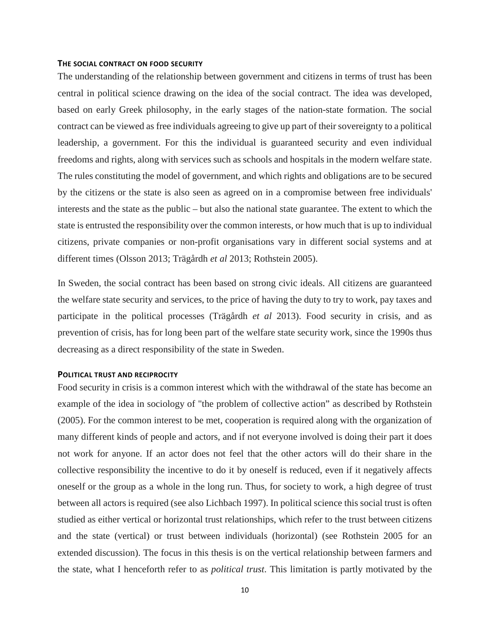#### <span id="page-15-0"></span>**THE SOCIAL CONTRACT ON FOOD SECURITY**

The understanding of the relationship between government and citizens in terms of trust has been central in political science drawing on the idea of the social contract. The idea was developed, based on early Greek philosophy, in the early stages of the nation-state formation. The social contract can be viewed as free individuals agreeing to give up part of their sovereignty to a political leadership, a government. For this the individual is guaranteed security and even individual freedoms and rights, along with services such as schools and hospitals in the modern welfare state. The rules constituting the model of government, and which rights and obligations are to be secured by the citizens or the state is also seen as agreed on in a compromise between free individuals' interests and the state as the public – but also the national state guarantee. The extent to which the state is entrusted the responsibility over the common interests, or how much that is up to individual citizens, private companies or non-profit organisations vary in different social systems and at different times (Olsson 2013; Trägårdh *et al* 2013; Rothstein 2005).

In Sweden, the social contract has been based on strong civic ideals. All citizens are guaranteed the welfare state security and services, to the price of having the duty to try to work, pay taxes and participate in the political processes (Trägårdh *et al* 2013). Food security in crisis, and as prevention of crisis, has for long been part of the welfare state security work, since the 1990s thus decreasing as a direct responsibility of the state in Sweden.

#### <span id="page-15-1"></span>**POLITICAL TRUST AND RECIPROCITY**

Food security in crisis is a common interest which with the withdrawal of the state has become an example of the idea in sociology of "the problem of collective action" as described by Rothstein (2005). For the common interest to be met, cooperation is required along with the organization of many different kinds of people and actors, and if not everyone involved is doing their part it does not work for anyone. If an actor does not feel that the other actors will do their share in the collective responsibility the incentive to do it by oneself is reduced, even if it negatively affects oneself or the group as a whole in the long run. Thus, for society to work, a high degree of trust between all actors is required (see also Lichbach 1997). In political science this social trust is often studied as either vertical or horizontal trust relationships, which refer to the trust between citizens and the state (vertical) or trust between individuals (horizontal) (see Rothstein 2005 for an extended discussion). The focus in this thesis is on the vertical relationship between farmers and the state, what I henceforth refer to as *political trust*. This limitation is partly motivated by the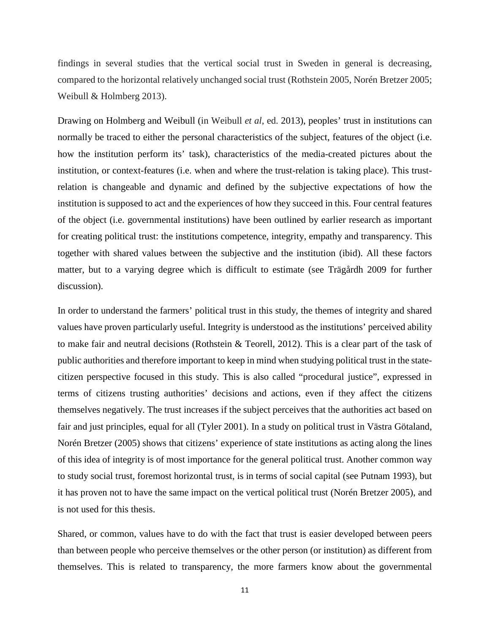findings in several studies that the vertical social trust in Sweden in general is decreasing, compared to the horizontal relatively unchanged social trust (Rothstein 2005, Norén Bretzer 2005; Weibull & Holmberg 2013).

Drawing on Holmberg and Weibull (in Weibull *et al*, ed. 2013), peoples' trust in institutions can normally be traced to either the personal characteristics of the subject, features of the object (i.e. how the institution perform its' task), characteristics of the media-created pictures about the institution, or context-features (i.e. when and where the trust-relation is taking place). This trustrelation is changeable and dynamic and defined by the subjective expectations of how the institution is supposed to act and the experiences of how they succeed in this. Four central features of the object (i.e. governmental institutions) have been outlined by earlier research as important for creating political trust: the institutions competence, integrity, empathy and transparency. This together with shared values between the subjective and the institution (ibid). All these factors matter, but to a varying degree which is difficult to estimate (see Trägårdh 2009 for further discussion).

In order to understand the farmers' political trust in this study, the themes of integrity and shared values have proven particularly useful. Integrity is understood as the institutions' perceived ability to make fair and neutral decisions (Rothstein & Teorell, 2012). This is a clear part of the task of public authorities and therefore important to keep in mind when studying political trust in the statecitizen perspective focused in this study. This is also called "procedural justice", expressed in terms of citizens trusting authorities' decisions and actions, even if they affect the citizens themselves negatively. The trust increases if the subject perceives that the authorities act based on fair and just principles, equal for all (Tyler 2001). In a study on political trust in Västra Götaland, Norén Bretzer (2005) shows that citizens' experience of state institutions as acting along the lines of this idea of integrity is of most importance for the general political trust. Another common way to study social trust, foremost horizontal trust, is in terms of social capital (see Putnam 1993), but it has proven not to have the same impact on the vertical political trust (Norén Bretzer 2005), and is not used for this thesis.

Shared, or common, values have to do with the fact that trust is easier developed between peers than between people who perceive themselves or the other person (or institution) as different from themselves. This is related to transparency, the more farmers know about the governmental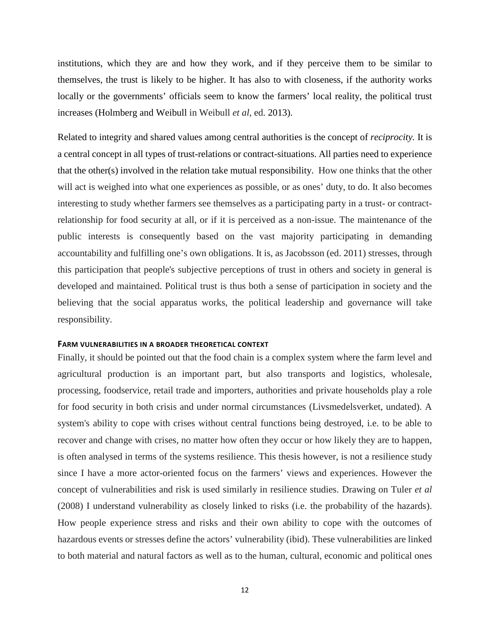institutions, which they are and how they work, and if they perceive them to be similar to themselves, the trust is likely to be higher. It has also to with closeness, if the authority works locally or the governments' officials seem to know the farmers' local reality, the political trust increases (Holmberg and Weibull in Weibull *et al*, ed. 2013).

Related to integrity and shared values among central authorities is the concept of *reciprocity.* It is a central concept in all types of trust-relations or contract-situations. All parties need to experience that the other(s) involved in the relation take mutual responsibility. How one thinks that the other will act is weighed into what one experiences as possible, or as ones' duty, to do. It also becomes interesting to study whether farmers see themselves as a participating party in a trust- or contractrelationship for food security at all, or if it is perceived as a non-issue. The maintenance of the public interests is consequently based on the vast majority participating in demanding accountability and fulfilling one's own obligations. It is, as Jacobsson (ed. 2011) stresses, through this participation that people's subjective perceptions of trust in others and society in general is developed and maintained. Political trust is thus both a sense of participation in society and the believing that the social apparatus works, the political leadership and governance will take responsibility.

#### <span id="page-17-0"></span>**FARM VULNERABILITIES IN A BROADER THEORETICAL CONTEXT**

Finally, it should be pointed out that the food chain is a complex system where the farm level and agricultural production is an important part, but also transports and logistics, wholesale, processing, foodservice, retail trade and importers, authorities and private households play a role for food security in both crisis and under normal circumstances (Livsmedelsverket, undated). A system's ability to cope with crises without central functions being destroyed, i.e. to be able to recover and change with crises, no matter how often they occur or how likely they are to happen, is often analysed in terms of the systems resilience. This thesis however, is not a resilience study since I have a more actor-oriented focus on the farmers' views and experiences. However the concept of vulnerabilities and risk is used similarly in resilience studies. Drawing on Tuler *et al* (2008) I understand vulnerability as closely linked to risks (i.e. the probability of the hazards). How people experience stress and risks and their own ability to cope with the outcomes of hazardous events or stresses define the actors' vulnerability (ibid). These vulnerabilities are linked to both material and natural factors as well as to the human, cultural, economic and political ones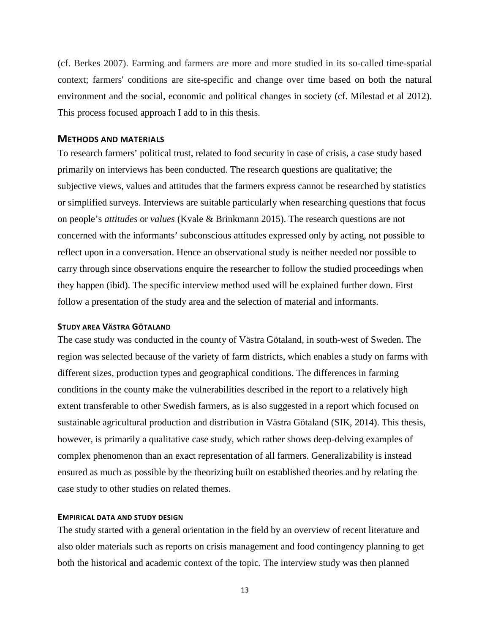(cf. Berkes 2007). Farming and farmers are more and more studied in its so-called time-spatial context; farmers' conditions are site-specific and change over time based on both the natural environment and the social, economic and political changes in society (cf. Milestad et al 2012). This process focused approach I add to in this thesis.

#### <span id="page-18-0"></span>**METHODS AND MATERIALS**

To research farmers' political trust, related to food security in case of crisis, a case study based primarily on interviews has been conducted. The research questions are qualitative; the subjective views, values and attitudes that the farmers express cannot be researched by statistics or simplified surveys. Interviews are suitable particularly when researching questions that focus on people's *attitudes* or *values* (Kvale & Brinkmann 2015). The research questions are not concerned with the informants' subconscious attitudes expressed only by acting, not possible to reflect upon in a conversation. Hence an observational study is neither needed nor possible to carry through since observations enquire the researcher to follow the studied proceedings when they happen (ibid). The specific interview method used will be explained further down. First follow a presentation of the study area and the selection of material and informants.

#### <span id="page-18-1"></span>**STUDY AREA VÄSTRA GÖTALAND**

The case study was conducted in the county of Västra Götaland, in south-west of Sweden. The region was selected because of the variety of farm districts, which enables a study on farms with different sizes, production types and geographical conditions. The differences in farming conditions in the county make the vulnerabilities described in the report to a relatively high extent transferable to other Swedish farmers, as is also suggested in a report which focused on sustainable agricultural production and distribution in Västra Götaland (SIK, 2014). This thesis, however, is primarily a qualitative case study, which rather shows deep-delving examples of complex phenomenon than an exact representation of all farmers. Generalizability is instead ensured as much as possible by the theorizing built on established theories and by relating the case study to other studies on related themes.

#### <span id="page-18-2"></span>**EMPIRICAL DATA AND STUDY DESIGN**

The study started with a general orientation in the field by an overview of recent literature and also older materials such as reports on crisis management and food contingency planning to get both the historical and academic context of the topic. The interview study was then planned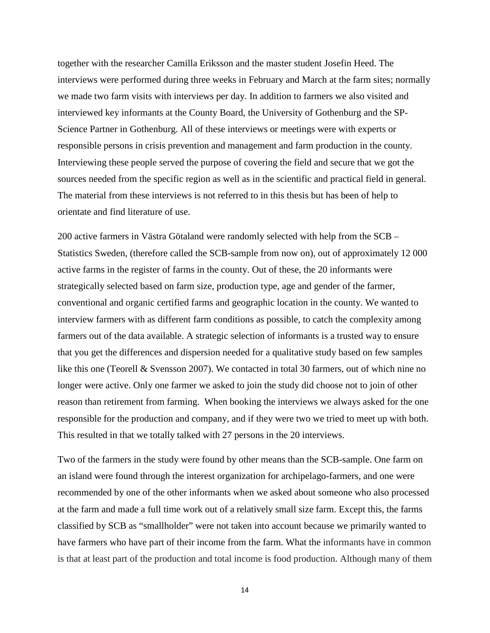together with the researcher Camilla Eriksson and the master student Josefin Heed. The interviews were performed during three weeks in February and March at the farm sites; normally we made two farm visits with interviews per day. In addition to farmers we also visited and interviewed key informants at the County Board, the University of Gothenburg and the SP-Science Partner in Gothenburg. All of these interviews or meetings were with experts or responsible persons in crisis prevention and management and farm production in the county. Interviewing these people served the purpose of covering the field and secure that we got the sources needed from the specific region as well as in the scientific and practical field in general. The material from these interviews is not referred to in this thesis but has been of help to orientate and find literature of use.

200 active farmers in Västra Götaland were randomly selected with help from the SCB – Statistics Sweden, (therefore called the SCB-sample from now on), out of approximately 12 000 active farms in the register of farms in the county. Out of these, the 20 informants were strategically selected based on farm size, production type, age and gender of the farmer, conventional and organic certified farms and geographic location in the county. We wanted to interview farmers with as different farm conditions as possible, to catch the complexity among farmers out of the data available. A strategic selection of informants is a trusted way to ensure that you get the differences and dispersion needed for a qualitative study based on few samples like this one (Teorell & Svensson 2007). We contacted in total 30 farmers, out of which nine no longer were active. Only one farmer we asked to join the study did choose not to join of other reason than retirement from farming. When booking the interviews we always asked for the one responsible for the production and company, and if they were two we tried to meet up with both. This resulted in that we totally talked with 27 persons in the 20 interviews.

Two of the farmers in the study were found by other means than the SCB-sample. One farm on an island were found through the interest organization for archipelago-farmers, and one were recommended by one of the other informants when we asked about someone who also processed at the farm and made a full time work out of a relatively small size farm. Except this, the farms classified by SCB as "smallholder" were not taken into account because we primarily wanted to have farmers who have part of their income from the farm. What the informants have in common is that at least part of the production and total income is food production. Although many of them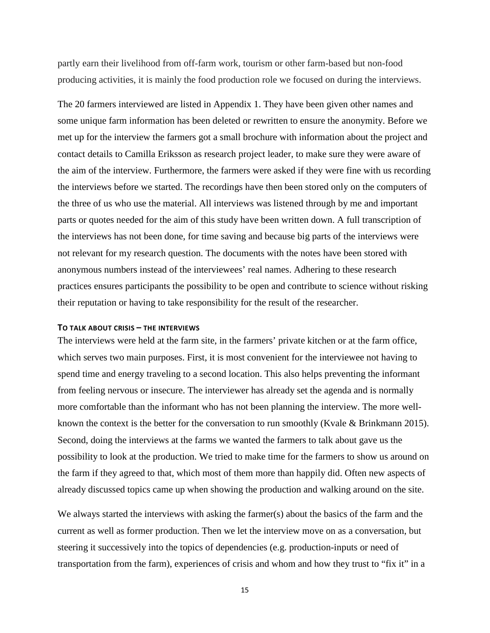partly earn their livelihood from off-farm work, tourism or other farm-based but non-food producing activities, it is mainly the food production role we focused on during the interviews.

The 20 farmers interviewed are listed in Appendix 1. They have been given other names and some unique farm information has been deleted or rewritten to ensure the anonymity. Before we met up for the interview the farmers got a small brochure with information about the project and contact details to Camilla Eriksson as research project leader, to make sure they were aware of the aim of the interview. Furthermore, the farmers were asked if they were fine with us recording the interviews before we started. The recordings have then been stored only on the computers of the three of us who use the material. All interviews was listened through by me and important parts or quotes needed for the aim of this study have been written down. A full transcription of the interviews has not been done, for time saving and because big parts of the interviews were not relevant for my research question. The documents with the notes have been stored with anonymous numbers instead of the interviewees' real names. Adhering to these research practices ensures participants the possibility to be open and contribute to science without risking their reputation or having to take responsibility for the result of the researcher.

#### <span id="page-20-0"></span>**TO TALK ABOUT CRISIS – THE INTERVIEWS**

The interviews were held at the farm site, in the farmers' private kitchen or at the farm office, which serves two main purposes. First, it is most convenient for the interviewee not having to spend time and energy traveling to a second location. This also helps preventing the informant from feeling nervous or insecure. The interviewer has already set the agenda and is normally more comfortable than the informant who has not been planning the interview. The more wellknown the context is the better for the conversation to run smoothly (Kvale & Brinkmann 2015). Second, doing the interviews at the farms we wanted the farmers to talk about gave us the possibility to look at the production. We tried to make time for the farmers to show us around on the farm if they agreed to that, which most of them more than happily did. Often new aspects of already discussed topics came up when showing the production and walking around on the site.

We always started the interviews with asking the farmer(s) about the basics of the farm and the current as well as former production. Then we let the interview move on as a conversation, but steering it successively into the topics of dependencies (e.g. production-inputs or need of transportation from the farm), experiences of crisis and whom and how they trust to "fix it" in a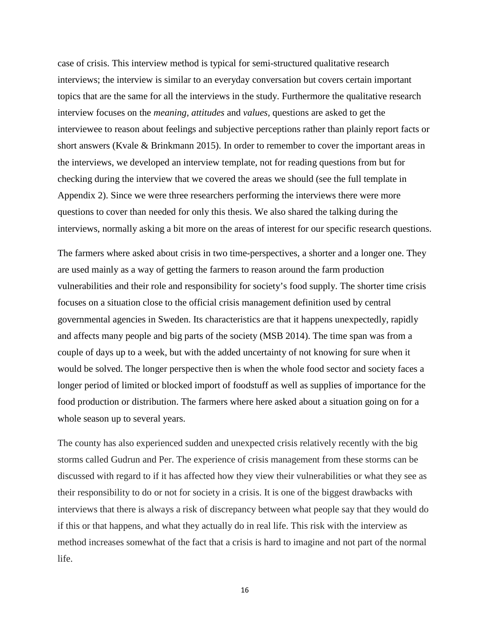case of crisis. This interview method is typical for semi-structured qualitative research interviews; the interview is similar to an everyday conversation but covers certain important topics that are the same for all the interviews in the study. Furthermore the qualitative research interview focuses on the *meaning, attitudes* and *values,* questions are asked to get the interviewee to reason about feelings and subjective perceptions rather than plainly report facts or short answers (Kvale & Brinkmann 2015). In order to remember to cover the important areas in the interviews, we developed an interview template, not for reading questions from but for checking during the interview that we covered the areas we should (see the full template in Appendix 2). Since we were three researchers performing the interviews there were more questions to cover than needed for only this thesis. We also shared the talking during the interviews, normally asking a bit more on the areas of interest for our specific research questions.

The farmers where asked about crisis in two time-perspectives, a shorter and a longer one. They are used mainly as a way of getting the farmers to reason around the farm production vulnerabilities and their role and responsibility for society's food supply. The shorter time crisis focuses on a situation close to the official crisis management definition used by central governmental agencies in Sweden. Its characteristics are that it happens unexpectedly, rapidly and affects many people and big parts of the society (MSB 2014). The time span was from a couple of days up to a week, but with the added uncertainty of not knowing for sure when it would be solved. The longer perspective then is when the whole food sector and society faces a longer period of limited or blocked import of foodstuff as well as supplies of importance for the food production or distribution. The farmers where here asked about a situation going on for a whole season up to several years.

The county has also experienced sudden and unexpected crisis relatively recently with the big storms called Gudrun and Per. The experience of crisis management from these storms can be discussed with regard to if it has affected how they view their vulnerabilities or what they see as their responsibility to do or not for society in a crisis. It is one of the biggest drawbacks with interviews that there is always a risk of discrepancy between what people say that they would do if this or that happens, and what they actually do in real life. This risk with the interview as method increases somewhat of the fact that a crisis is hard to imagine and not part of the normal life.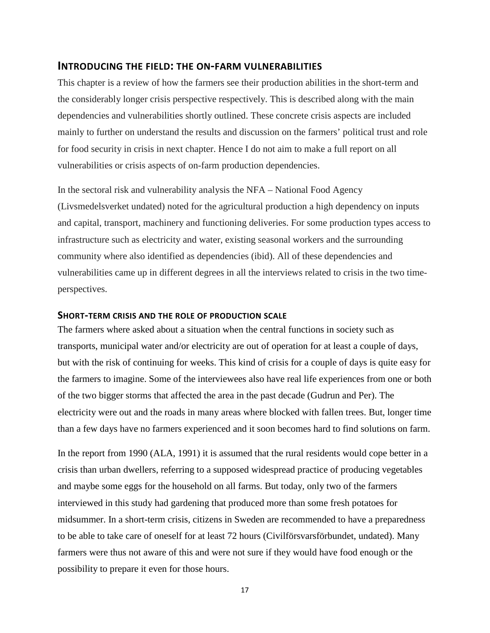#### <span id="page-22-0"></span>**INTRODUCING THE FIELD: THE ON-FARM VULNERABILITIES**

This chapter is a review of how the farmers see their production abilities in the short-term and the considerably longer crisis perspective respectively. This is described along with the main dependencies and vulnerabilities shortly outlined. These concrete crisis aspects are included mainly to further on understand the results and discussion on the farmers' political trust and role for food security in crisis in next chapter. Hence I do not aim to make a full report on all vulnerabilities or crisis aspects of on-farm production dependencies.

In the sectoral risk and vulnerability analysis the NFA – National Food Agency (Livsmedelsverket undated) noted for the agricultural production a high dependency on inputs and capital, transport, machinery and functioning deliveries. For some production types access to infrastructure such as electricity and water, existing seasonal workers and the surrounding community where also identified as dependencies (ibid). All of these dependencies and vulnerabilities came up in different degrees in all the interviews related to crisis in the two timeperspectives.

#### <span id="page-22-1"></span>**SHORT-TERM CRISIS AND THE ROLE OF PRODUCTION SCALE**

The farmers where asked about a situation when the central functions in society such as transports, municipal water and/or electricity are out of operation for at least a couple of days, but with the risk of continuing for weeks. This kind of crisis for a couple of days is quite easy for the farmers to imagine. Some of the interviewees also have real life experiences from one or both of the two bigger storms that affected the area in the past decade (Gudrun and Per). The electricity were out and the roads in many areas where blocked with fallen trees. But, longer time than a few days have no farmers experienced and it soon becomes hard to find solutions on farm.

In the report from 1990 (ALA, 1991) it is assumed that the rural residents would cope better in a crisis than urban dwellers, referring to a supposed widespread practice of producing vegetables and maybe some eggs for the household on all farms. But today, only two of the farmers interviewed in this study had gardening that produced more than some fresh potatoes for midsummer. In a short-term crisis, citizens in Sweden are recommended to have a preparedness to be able to take care of oneself for at least 72 hours (Civilförsvarsförbundet, undated). Many farmers were thus not aware of this and were not sure if they would have food enough or the possibility to prepare it even for those hours.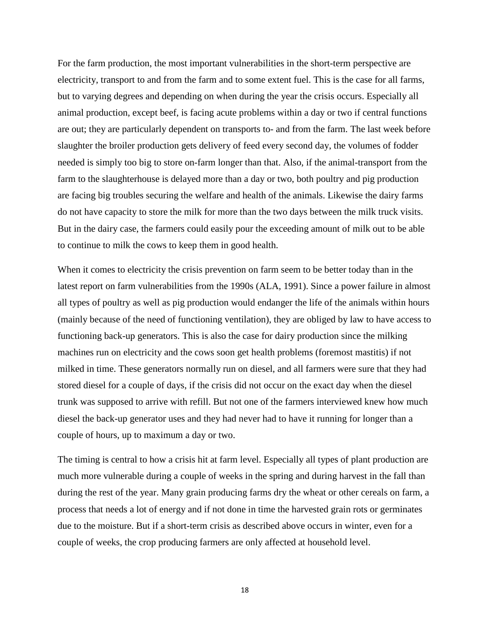For the farm production, the most important vulnerabilities in the short-term perspective are electricity, transport to and from the farm and to some extent fuel. This is the case for all farms, but to varying degrees and depending on when during the year the crisis occurs. Especially all animal production, except beef, is facing acute problems within a day or two if central functions are out; they are particularly dependent on transports to- and from the farm. The last week before slaughter the broiler production gets delivery of feed every second day, the volumes of fodder needed is simply too big to store on-farm longer than that. Also, if the animal-transport from the farm to the slaughterhouse is delayed more than a day or two, both poultry and pig production are facing big troubles securing the welfare and health of the animals. Likewise the dairy farms do not have capacity to store the milk for more than the two days between the milk truck visits. But in the dairy case, the farmers could easily pour the exceeding amount of milk out to be able to continue to milk the cows to keep them in good health.

When it comes to electricity the crisis prevention on farm seem to be better today than in the latest report on farm vulnerabilities from the 1990s (ALA, 1991). Since a power failure in almost all types of poultry as well as pig production would endanger the life of the animals within hours (mainly because of the need of functioning ventilation), they are obliged by law to have access to functioning back-up generators. This is also the case for dairy production since the milking machines run on electricity and the cows soon get health problems (foremost mastitis) if not milked in time. These generators normally run on diesel, and all farmers were sure that they had stored diesel for a couple of days, if the crisis did not occur on the exact day when the diesel trunk was supposed to arrive with refill. But not one of the farmers interviewed knew how much diesel the back-up generator uses and they had never had to have it running for longer than a couple of hours, up to maximum a day or two.

The timing is central to how a crisis hit at farm level. Especially all types of plant production are much more vulnerable during a couple of weeks in the spring and during harvest in the fall than during the rest of the year. Many grain producing farms dry the wheat or other cereals on farm, a process that needs a lot of energy and if not done in time the harvested grain rots or germinates due to the moisture. But if a short-term crisis as described above occurs in winter, even for a couple of weeks, the crop producing farmers are only affected at household level.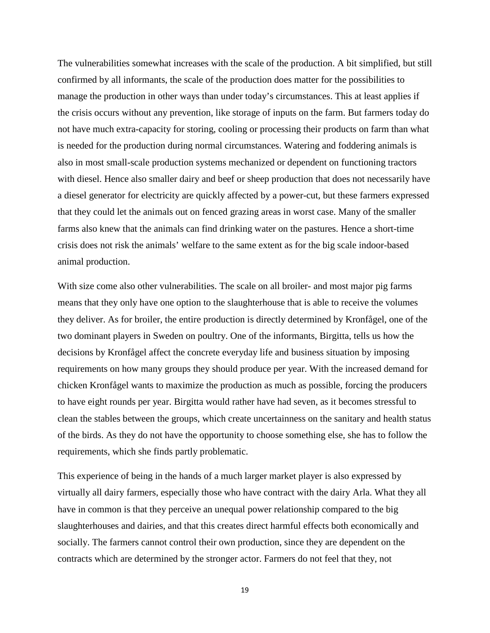The vulnerabilities somewhat increases with the scale of the production. A bit simplified, but still confirmed by all informants, the scale of the production does matter for the possibilities to manage the production in other ways than under today's circumstances. This at least applies if the crisis occurs without any prevention, like storage of inputs on the farm. But farmers today do not have much extra-capacity for storing, cooling or processing their products on farm than what is needed for the production during normal circumstances. Watering and foddering animals is also in most small-scale production systems mechanized or dependent on functioning tractors with diesel. Hence also smaller dairy and beef or sheep production that does not necessarily have a diesel generator for electricity are quickly affected by a power-cut, but these farmers expressed that they could let the animals out on fenced grazing areas in worst case. Many of the smaller farms also knew that the animals can find drinking water on the pastures. Hence a short-time crisis does not risk the animals' welfare to the same extent as for the big scale indoor-based animal production.

With size come also other vulnerabilities. The scale on all broiler- and most major pig farms means that they only have one option to the slaughterhouse that is able to receive the volumes they deliver. As for broiler, the entire production is directly determined by Kronfågel, one of the two dominant players in Sweden on poultry. One of the informants, Birgitta, tells us how the decisions by Kronfågel affect the concrete everyday life and business situation by imposing requirements on how many groups they should produce per year. With the increased demand for chicken Kronfågel wants to maximize the production as much as possible, forcing the producers to have eight rounds per year. Birgitta would rather have had seven, as it becomes stressful to clean the stables between the groups, which create uncertainness on the sanitary and health status of the birds. As they do not have the opportunity to choose something else, she has to follow the requirements, which she finds partly problematic.

This experience of being in the hands of a much larger market player is also expressed by virtually all dairy farmers, especially those who have contract with the dairy Arla. What they all have in common is that they perceive an unequal power relationship compared to the big slaughterhouses and dairies, and that this creates direct harmful effects both economically and socially. The farmers cannot control their own production, since they are dependent on the contracts which are determined by the stronger actor. Farmers do not feel that they, not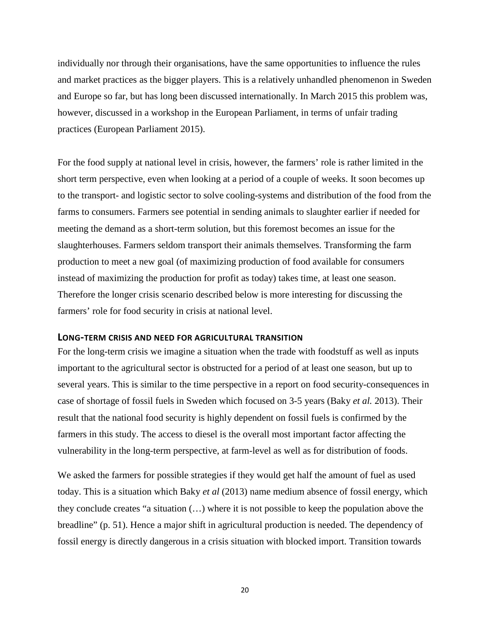individually nor through their organisations, have the same opportunities to influence the rules and market practices as the bigger players. This is a relatively unhandled phenomenon in Sweden and Europe so far, but has long been discussed internationally. In March 2015 this problem was, however, discussed in a workshop in the European Parliament, in terms of unfair trading practices (European Parliament 2015).

For the food supply at national level in crisis, however, the farmers' role is rather limited in the short term perspective, even when looking at a period of a couple of weeks. It soon becomes up to the transport- and logistic sector to solve cooling-systems and distribution of the food from the farms to consumers. Farmers see potential in sending animals to slaughter earlier if needed for meeting the demand as a short-term solution, but this foremost becomes an issue for the slaughterhouses. Farmers seldom transport their animals themselves. Transforming the farm production to meet a new goal (of maximizing production of food available for consumers instead of maximizing the production for profit as today) takes time, at least one season. Therefore the longer crisis scenario described below is more interesting for discussing the farmers' role for food security in crisis at national level.

#### <span id="page-25-0"></span>**LONG-TERM CRISIS AND NEED FOR AGRICULTURAL TRANSITION**

For the long-term crisis we imagine a situation when the trade with foodstuff as well as inputs important to the agricultural sector is obstructed for a period of at least one season, but up to several years. This is similar to the time perspective in a report on food security-consequences in case of shortage of fossil fuels in Sweden which focused on 3-5 years (Baky *et al.* 2013). Their result that the national food security is highly dependent on fossil fuels is confirmed by the farmers in this study. The access to diesel is the overall most important factor affecting the vulnerability in the long-term perspective, at farm-level as well as for distribution of foods.

We asked the farmers for possible strategies if they would get half the amount of fuel as used today. This is a situation which Baky *et al* (2013) name medium absence of fossil energy, which they conclude creates "a situation  $(...)$  where it is not possible to keep the population above the breadline" (p. 51). Hence a major shift in agricultural production is needed. The dependency of fossil energy is directly dangerous in a crisis situation with blocked import. Transition towards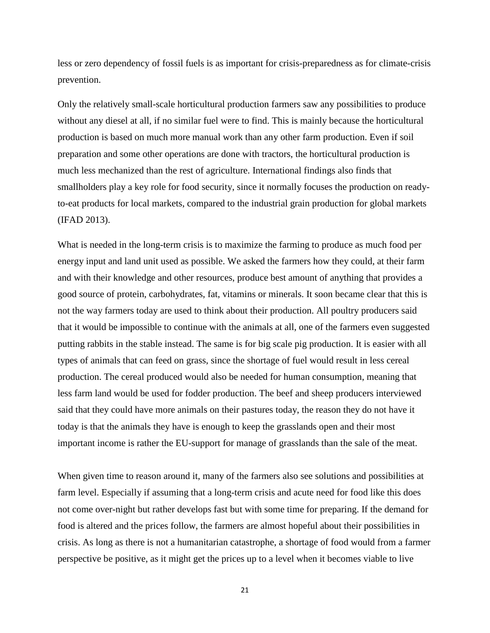less or zero dependency of fossil fuels is as important for crisis-preparedness as for climate-crisis prevention.

Only the relatively small-scale horticultural production farmers saw any possibilities to produce without any diesel at all, if no similar fuel were to find. This is mainly because the horticultural production is based on much more manual work than any other farm production. Even if soil preparation and some other operations are done with tractors, the horticultural production is much less mechanized than the rest of agriculture. International findings also finds that smallholders play a key role for food security, since it normally focuses the production on readyto-eat products for local markets, compared to the industrial grain production for global markets (IFAD 2013).

What is needed in the long-term crisis is to maximize the farming to produce as much food per energy input and land unit used as possible. We asked the farmers how they could, at their farm and with their knowledge and other resources, produce best amount of anything that provides a good source of protein, carbohydrates, fat, vitamins or minerals. It soon became clear that this is not the way farmers today are used to think about their production. All poultry producers said that it would be impossible to continue with the animals at all, one of the farmers even suggested putting rabbits in the stable instead. The same is for big scale pig production. It is easier with all types of animals that can feed on grass, since the shortage of fuel would result in less cereal production. The cereal produced would also be needed for human consumption, meaning that less farm land would be used for fodder production. The beef and sheep producers interviewed said that they could have more animals on their pastures today, the reason they do not have it today is that the animals they have is enough to keep the grasslands open and their most important income is rather the EU-support for manage of grasslands than the sale of the meat.

When given time to reason around it, many of the farmers also see solutions and possibilities at farm level. Especially if assuming that a long-term crisis and acute need for food like this does not come over-night but rather develops fast but with some time for preparing. If the demand for food is altered and the prices follow, the farmers are almost hopeful about their possibilities in crisis. As long as there is not a humanitarian catastrophe, a shortage of food would from a farmer perspective be positive, as it might get the prices up to a level when it becomes viable to live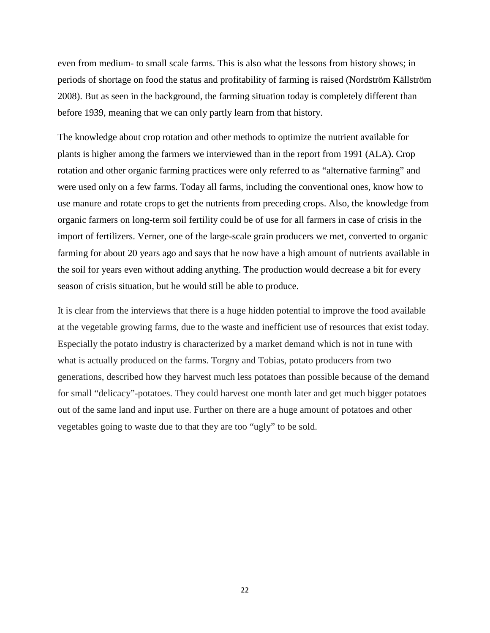even from medium- to small scale farms. This is also what the lessons from history shows; in periods of shortage on food the status and profitability of farming is raised (Nordström Källström 2008). But as seen in the background, the farming situation today is completely different than before 1939, meaning that we can only partly learn from that history.

The knowledge about crop rotation and other methods to optimize the nutrient available for plants is higher among the farmers we interviewed than in the report from 1991 (ALA). Crop rotation and other organic farming practices were only referred to as "alternative farming" and were used only on a few farms. Today all farms, including the conventional ones, know how to use manure and rotate crops to get the nutrients from preceding crops. Also, the knowledge from organic farmers on long-term soil fertility could be of use for all farmers in case of crisis in the import of fertilizers. Verner, one of the large-scale grain producers we met, converted to organic farming for about 20 years ago and says that he now have a high amount of nutrients available in the soil for years even without adding anything. The production would decrease a bit for every season of crisis situation, but he would still be able to produce.

It is clear from the interviews that there is a huge hidden potential to improve the food available at the vegetable growing farms, due to the waste and inefficient use of resources that exist today. Especially the potato industry is characterized by a market demand which is not in tune with what is actually produced on the farms. Torgny and Tobias, potato producers from two generations, described how they harvest much less potatoes than possible because of the demand for small "delicacy"-potatoes. They could harvest one month later and get much bigger potatoes out of the same land and input use. Further on there are a huge amount of potatoes and other vegetables going to waste due to that they are too "ugly" to be sold.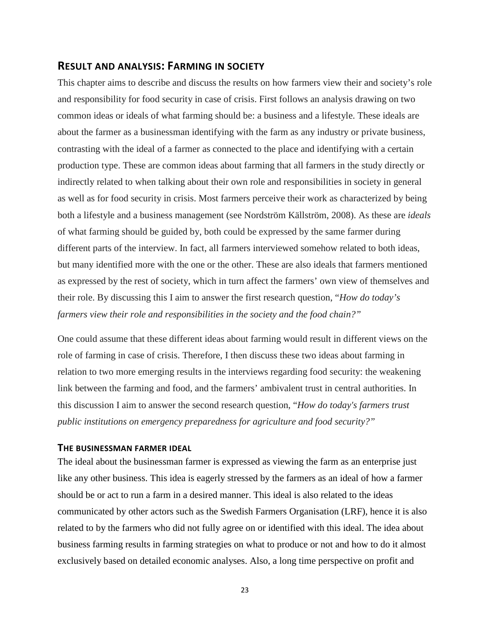#### <span id="page-28-0"></span>**RESULT AND ANALYSIS: FARMING IN SOCIETY**

This chapter aims to describe and discuss the results on how farmers view their and society's role and responsibility for food security in case of crisis. First follows an analysis drawing on two common ideas or ideals of what farming should be: a business and a lifestyle. These ideals are about the farmer as a businessman identifying with the farm as any industry or private business, contrasting with the ideal of a farmer as connected to the place and identifying with a certain production type. These are common ideas about farming that all farmers in the study directly or indirectly related to when talking about their own role and responsibilities in society in general as well as for food security in crisis. Most farmers perceive their work as characterized by being both a lifestyle and a business management (see Nordström Källström, 2008). As these are *ideals* of what farming should be guided by, both could be expressed by the same farmer during different parts of the interview. In fact, all farmers interviewed somehow related to both ideas, but many identified more with the one or the other. These are also ideals that farmers mentioned as expressed by the rest of society, which in turn affect the farmers' own view of themselves and their role. By discussing this I aim to answer the first research question, "*How do today's farmers view their role and responsibilities in the society and the food chain?"*

One could assume that these different ideas about farming would result in different views on the role of farming in case of crisis. Therefore, I then discuss these two ideas about farming in relation to two more emerging results in the interviews regarding food security: the weakening link between the farming and food, and the farmers' ambivalent trust in central authorities. In this discussion I aim to answer the second research question, "*How do today's farmers trust public institutions on emergency preparedness for agriculture and food security?"*

#### <span id="page-28-1"></span>**THE BUSINESSMAN FARMER IDEAL**

The ideal about the businessman farmer is expressed as viewing the farm as an enterprise just like any other business. This idea is eagerly stressed by the farmers as an ideal of how a farmer should be or act to run a farm in a desired manner. This ideal is also related to the ideas communicated by other actors such as the Swedish Farmers Organisation (LRF), hence it is also related to by the farmers who did not fully agree on or identified with this ideal. The idea about business farming results in farming strategies on what to produce or not and how to do it almost exclusively based on detailed economic analyses. Also, a long time perspective on profit and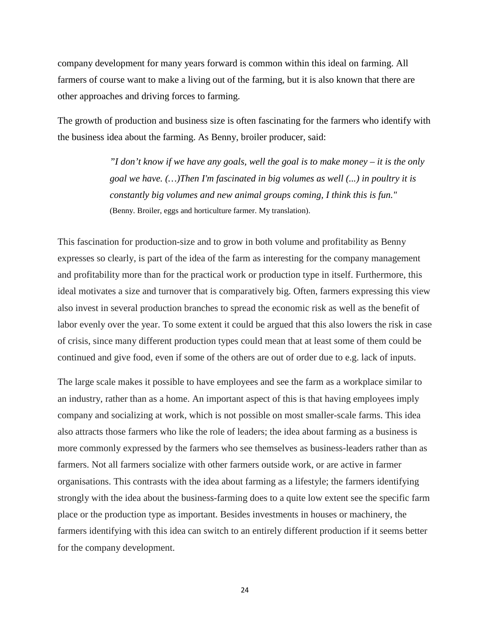company development for many years forward is common within this ideal on farming. All farmers of course want to make a living out of the farming, but it is also known that there are other approaches and driving forces to farming.

The growth of production and business size is often fascinating for the farmers who identify with the business idea about the farming. As Benny, broiler producer, said:

> *"I don't know if we have any goals, well the goal is to make money – it is the only goal we have. (…)Then I'm fascinated in big volumes as well (...) in poultry it is constantly big volumes and new animal groups coming, I think this is fun."* (Benny. Broiler, eggs and horticulture farmer. My translation).

This fascination for production-size and to grow in both volume and profitability as Benny expresses so clearly, is part of the idea of the farm as interesting for the company management and profitability more than for the practical work or production type in itself. Furthermore, this ideal motivates a size and turnover that is comparatively big. Often, farmers expressing this view also invest in several production branches to spread the economic risk as well as the benefit of labor evenly over the year. To some extent it could be argued that this also lowers the risk in case of crisis, since many different production types could mean that at least some of them could be continued and give food, even if some of the others are out of order due to e.g. lack of inputs.

The large scale makes it possible to have employees and see the farm as a workplace similar to an industry, rather than as a home. An important aspect of this is that having employees imply company and socializing at work, which is not possible on most smaller-scale farms. This idea also attracts those farmers who like the role of leaders; the idea about farming as a business is more commonly expressed by the farmers who see themselves as business-leaders rather than as farmers. Not all farmers socialize with other farmers outside work, or are active in farmer organisations. This contrasts with the idea about farming as a lifestyle; the farmers identifying strongly with the idea about the business-farming does to a quite low extent see the specific farm place or the production type as important. Besides investments in houses or machinery, the farmers identifying with this idea can switch to an entirely different production if it seems better for the company development.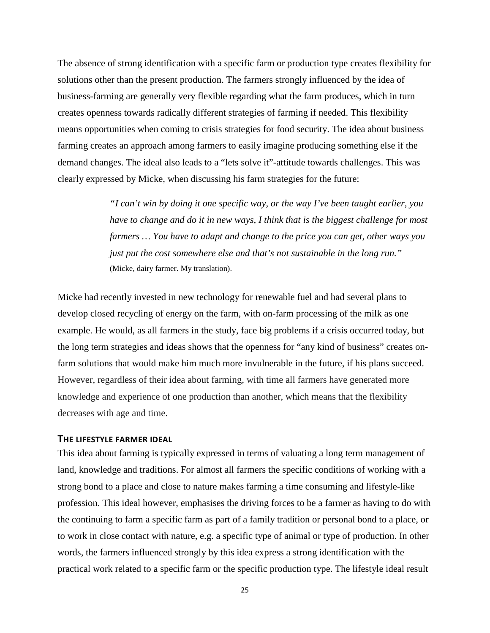The absence of strong identification with a specific farm or production type creates flexibility for solutions other than the present production. The farmers strongly influenced by the idea of business-farming are generally very flexible regarding what the farm produces, which in turn creates openness towards radically different strategies of farming if needed. This flexibility means opportunities when coming to crisis strategies for food security. The idea about business farming creates an approach among farmers to easily imagine producing something else if the demand changes. The ideal also leads to a "lets solve it"-attitude towards challenges. This was clearly expressed by Micke, when discussing his farm strategies for the future:

> *"I can't win by doing it one specific way, or the way I've been taught earlier, you have to change and do it in new ways, I think that is the biggest challenge for most farmers … You have to adapt and change to the price you can get, other ways you just put the cost somewhere else and that's not sustainable in the long run."* (Micke, dairy farmer. My translation).

Micke had recently invested in new technology for renewable fuel and had several plans to develop closed recycling of energy on the farm, with on-farm processing of the milk as one example. He would, as all farmers in the study, face big problems if a crisis occurred today, but the long term strategies and ideas shows that the openness for "any kind of business" creates onfarm solutions that would make him much more invulnerable in the future, if his plans succeed. However, regardless of their idea about farming, with time all farmers have generated more knowledge and experience of one production than another, which means that the flexibility decreases with age and time.

#### <span id="page-30-0"></span>**THE LIFESTYLE FARMER IDEAL**

This idea about farming is typically expressed in terms of valuating a long term management of land, knowledge and traditions. For almost all farmers the specific conditions of working with a strong bond to a place and close to nature makes farming a time consuming and lifestyle-like profession. This ideal however, emphasises the driving forces to be a farmer as having to do with the continuing to farm a specific farm as part of a family tradition or personal bond to a place, or to work in close contact with nature, e.g. a specific type of animal or type of production. In other words, the farmers influenced strongly by this idea express a strong identification with the practical work related to a specific farm or the specific production type. The lifestyle ideal result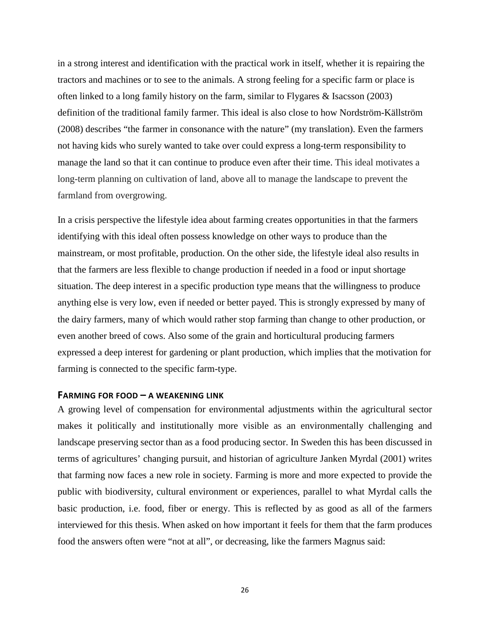in a strong interest and identification with the practical work in itself, whether it is repairing the tractors and machines or to see to the animals. A strong feeling for a specific farm or place is often linked to a long family history on the farm, similar to Flygares & Isacsson (2003) definition of the traditional family farmer. This ideal is also close to how Nordström-Källström (2008) describes "the farmer in consonance with the nature" (my translation). Even the farmers not having kids who surely wanted to take over could express a long-term responsibility to manage the land so that it can continue to produce even after their time. This ideal motivates a long-term planning on cultivation of land, above all to manage the landscape to prevent the farmland from overgrowing.

In a crisis perspective the lifestyle idea about farming creates opportunities in that the farmers identifying with this ideal often possess knowledge on other ways to produce than the mainstream, or most profitable, production. On the other side, the lifestyle ideal also results in that the farmers are less flexible to change production if needed in a food or input shortage situation. The deep interest in a specific production type means that the willingness to produce anything else is very low, even if needed or better payed. This is strongly expressed by many of the dairy farmers, many of which would rather stop farming than change to other production, or even another breed of cows. Also some of the grain and horticultural producing farmers expressed a deep interest for gardening or plant production, which implies that the motivation for farming is connected to the specific farm-type.

#### <span id="page-31-0"></span>**FARMING FOR FOOD – A WEAKENING LINK**

A growing level of compensation for environmental adjustments within the agricultural sector makes it politically and institutionally more visible as an environmentally challenging and landscape preserving sector than as a food producing sector. In Sweden this has been discussed in terms of agricultures' changing pursuit, and historian of agriculture Janken Myrdal (2001) writes that farming now faces a new role in society. Farming is more and more expected to provide the public with biodiversity, cultural environment or experiences, parallel to what Myrdal calls the basic production, i.e. food, fiber or energy. This is reflected by as good as all of the farmers interviewed for this thesis. When asked on how important it feels for them that the farm produces food the answers often were "not at all", or decreasing, like the farmers Magnus said: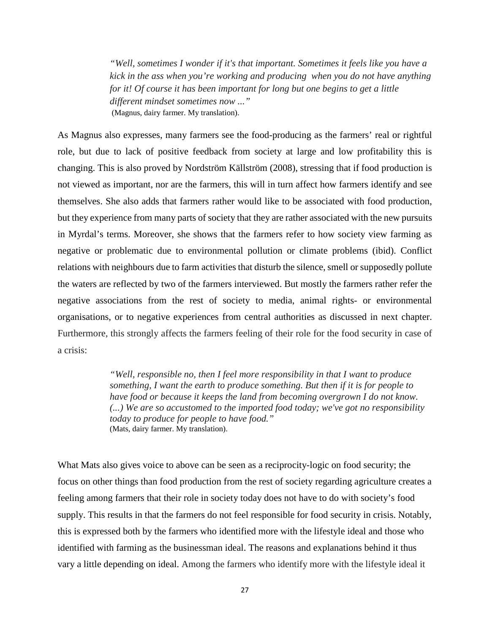*"Well, sometimes I wonder if it's that important. Sometimes it feels like you have a kick in the ass when you're working and producing when you do not have anything for it! Of course it has been important for long but one begins to get a little different mindset sometimes now ..."* (Magnus, dairy farmer. My translation).

As Magnus also expresses, many farmers see the food-producing as the farmers' real or rightful role, but due to lack of positive feedback from society at large and low profitability this is changing. This is also proved by Nordström Källström (2008), stressing that if food production is not viewed as important, nor are the farmers, this will in turn affect how farmers identify and see themselves. She also adds that farmers rather would like to be associated with food production, but they experience from many parts of society that they are rather associated with the new pursuits in Myrdal's terms. Moreover, she shows that the farmers refer to how society view farming as negative or problematic due to environmental pollution or climate problems (ibid). Conflict relations with neighbours due to farm activities that disturb the silence, smell or supposedly pollute the waters are reflected by two of the farmers interviewed. But mostly the farmers rather refer the negative associations from the rest of society to media, animal rights- or environmental organisations, or to negative experiences from central authorities as discussed in next chapter. Furthermore, this strongly affects the farmers feeling of their role for the food security in case of a crisis:

> *"Well, responsible no, then I feel more responsibility in that I want to produce something, I want the earth to produce something. But then if it is for people to have food or because it keeps the land from becoming overgrown I do not know. (...) We are so accustomed to the imported food today; we've got no responsibility today to produce for people to have food."* (Mats, dairy farmer. My translation).

What Mats also gives voice to above can be seen as a reciprocity-logic on food security; the focus on other things than food production from the rest of society regarding agriculture creates a feeling among farmers that their role in society today does not have to do with society's food supply. This results in that the farmers do not feel responsible for food security in crisis. Notably, this is expressed both by the farmers who identified more with the lifestyle ideal and those who identified with farming as the businessman ideal. The reasons and explanations behind it thus vary a little depending on ideal. Among the farmers who identify more with the lifestyle ideal it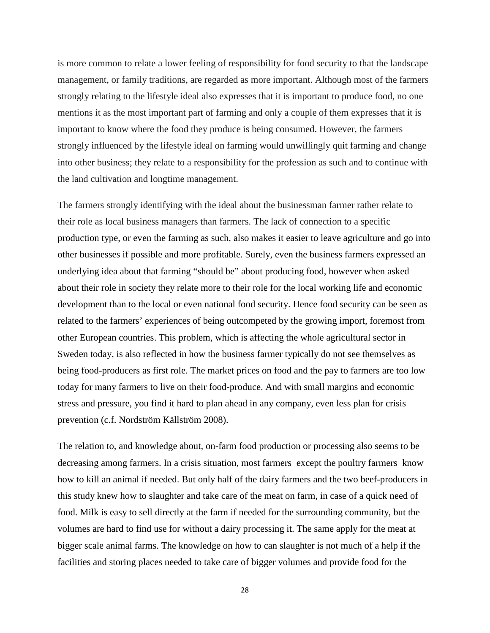is more common to relate a lower feeling of responsibility for food security to that the landscape management, or family traditions, are regarded as more important. Although most of the farmers strongly relating to the lifestyle ideal also expresses that it is important to produce food, no one mentions it as the most important part of farming and only a couple of them expresses that it is important to know where the food they produce is being consumed. However, the farmers strongly influenced by the lifestyle ideal on farming would unwillingly quit farming and change into other business; they relate to a responsibility for the profession as such and to continue with the land cultivation and longtime management.

The farmers strongly identifying with the ideal about the businessman farmer rather relate to their role as local business managers than farmers. The lack of connection to a specific production type, or even the farming as such, also makes it easier to leave agriculture and go into other businesses if possible and more profitable. Surely, even the business farmers expressed an underlying idea about that farming "should be" about producing food, however when asked about their role in society they relate more to their role for the local working life and economic development than to the local or even national food security. Hence food security can be seen as related to the farmers' experiences of being outcompeted by the growing import, foremost from other European countries. This problem, which is affecting the whole agricultural sector in Sweden today, is also reflected in how the business farmer typically do not see themselves as being food-producers as first role. The market prices on food and the pay to farmers are too low today for many farmers to live on their food-produce. And with small margins and economic stress and pressure, you find it hard to plan ahead in any company, even less plan for crisis prevention (c.f. Nordström Källström 2008).

The relation to, and knowledge about, on-farm food production or processing also seems to be decreasing among farmers. In a crisis situation, most farmers except the poultry farmers know how to kill an animal if needed. But only half of the dairy farmers and the two beef-producers in this study knew how to slaughter and take care of the meat on farm, in case of a quick need of food. Milk is easy to sell directly at the farm if needed for the surrounding community, but the volumes are hard to find use for without a dairy processing it. The same apply for the meat at bigger scale animal farms. The knowledge on how to can slaughter is not much of a help if the facilities and storing places needed to take care of bigger volumes and provide food for the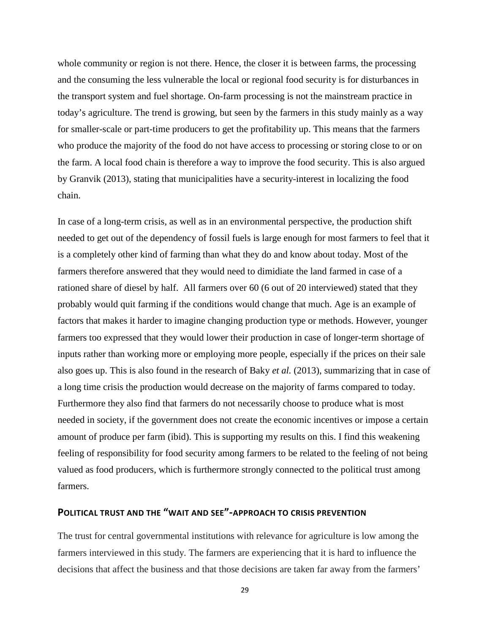whole community or region is not there. Hence, the closer it is between farms, the processing and the consuming the less vulnerable the local or regional food security is for disturbances in the transport system and fuel shortage. On-farm processing is not the mainstream practice in today's agriculture. The trend is growing, but seen by the farmers in this study mainly as a way for smaller-scale or part-time producers to get the profitability up. This means that the farmers who produce the majority of the food do not have access to processing or storing close to or on the farm. A local food chain is therefore a way to improve the food security. This is also argued by Granvik (2013), stating that municipalities have a security-interest in localizing the food chain.

In case of a long-term crisis, as well as in an environmental perspective, the production shift needed to get out of the dependency of fossil fuels is large enough for most farmers to feel that it is a completely other kind of farming than what they do and know about today. Most of the farmers therefore answered that they would need to dimidiate the land farmed in case of a rationed share of diesel by half. All farmers over 60 (6 out of 20 interviewed) stated that they probably would quit farming if the conditions would change that much. Age is an example of factors that makes it harder to imagine changing production type or methods. However, younger farmers too expressed that they would lower their production in case of longer-term shortage of inputs rather than working more or employing more people, especially if the prices on their sale also goes up. This is also found in the research of Baky *et al.* (2013), summarizing that in case of a long time crisis the production would decrease on the majority of farms compared to today. Furthermore they also find that farmers do not necessarily choose to produce what is most needed in society, if the government does not create the economic incentives or impose a certain amount of produce per farm (ibid). This is supporting my results on this. I find this weakening feeling of responsibility for food security among farmers to be related to the feeling of not being valued as food producers, which is furthermore strongly connected to the political trust among farmers.

### <span id="page-34-0"></span>**POLITICAL TRUST AND THE "WAIT AND SEE"-APPROACH TO CRISIS PREVENTION**

The trust for central governmental institutions with relevance for agriculture is low among the farmers interviewed in this study. The farmers are experiencing that it is hard to influence the decisions that affect the business and that those decisions are taken far away from the farmers'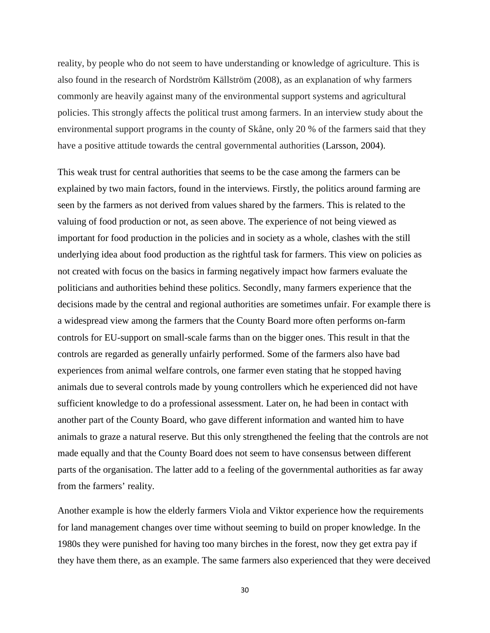reality, by people who do not seem to have understanding or knowledge of agriculture. This is also found in the research of Nordström Källström (2008), as an explanation of why farmers commonly are heavily against many of the environmental support systems and agricultural policies. This strongly affects the political trust among farmers. In an interview study about the environmental support programs in the county of Skåne, only 20 % of the farmers said that they have a positive attitude towards the central governmental authorities (Larsson, 2004).

This weak trust for central authorities that seems to be the case among the farmers can be explained by two main factors, found in the interviews. Firstly, the politics around farming are seen by the farmers as not derived from values shared by the farmers. This is related to the valuing of food production or not, as seen above. The experience of not being viewed as important for food production in the policies and in society as a whole, clashes with the still underlying idea about food production as the rightful task for farmers. This view on policies as not created with focus on the basics in farming negatively impact how farmers evaluate the politicians and authorities behind these politics. Secondly, many farmers experience that the decisions made by the central and regional authorities are sometimes unfair. For example there is a widespread view among the farmers that the County Board more often performs on-farm controls for EU-support on small-scale farms than on the bigger ones. This result in that the controls are regarded as generally unfairly performed. Some of the farmers also have bad experiences from animal welfare controls, one farmer even stating that he stopped having animals due to several controls made by young controllers which he experienced did not have sufficient knowledge to do a professional assessment. Later on, he had been in contact with another part of the County Board, who gave different information and wanted him to have animals to graze a natural reserve. But this only strengthened the feeling that the controls are not made equally and that the County Board does not seem to have consensus between different parts of the organisation. The latter add to a feeling of the governmental authorities as far away from the farmers' reality.

Another example is how the elderly farmers Viola and Viktor experience how the requirements for land management changes over time without seeming to build on proper knowledge. In the 1980s they were punished for having too many birches in the forest, now they get extra pay if they have them there, as an example. The same farmers also experienced that they were deceived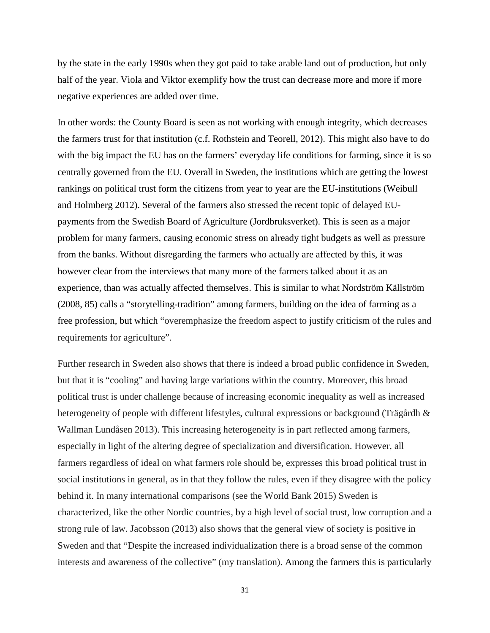by the state in the early 1990s when they got paid to take arable land out of production, but only half of the year. Viola and Viktor exemplify how the trust can decrease more and more if more negative experiences are added over time.

In other words: the County Board is seen as not working with enough integrity, which decreases the farmers trust for that institution (c.f. Rothstein and Teorell, 2012). This might also have to do with the big impact the EU has on the farmers' everyday life conditions for farming, since it is so centrally governed from the EU. Overall in Sweden, the institutions which are getting the lowest rankings on political trust form the citizens from year to year are the EU-institutions (Weibull and Holmberg 2012). Several of the farmers also stressed the recent topic of delayed EUpayments from the Swedish Board of Agriculture (Jordbruksverket). This is seen as a major problem for many farmers, causing economic stress on already tight budgets as well as pressure from the banks. Without disregarding the farmers who actually are affected by this, it was however clear from the interviews that many more of the farmers talked about it as an experience, than was actually affected themselves. This is similar to what Nordström Källström (2008, 85) calls a "storytelling-tradition" among farmers, building on the idea of farming as a free profession, but which "overemphasize the freedom aspect to justify criticism of the rules and requirements for agriculture".

Further research in Sweden also shows that there is indeed a broad public confidence in Sweden, but that it is "cooling" and having large variations within the country. Moreover, this broad political trust is under challenge because of increasing economic inequality as well as increased heterogeneity of people with different lifestyles, cultural expressions or background (Trägårdh & Wallman Lundåsen 2013). This increasing heterogeneity is in part reflected among farmers, especially in light of the altering degree of specialization and diversification. However, all farmers regardless of ideal on what farmers role should be, expresses this broad political trust in social institutions in general, as in that they follow the rules, even if they disagree with the policy behind it. In many international comparisons (see the World Bank 2015) Sweden is characterized, like the other Nordic countries, by a high level of social trust, low corruption and a strong rule of law. Jacobsson (2013) also shows that the general view of society is positive in Sweden and that "Despite the increased individualization there is a broad sense of the common interests and awareness of the collective" (my translation). Among the farmers this is particularly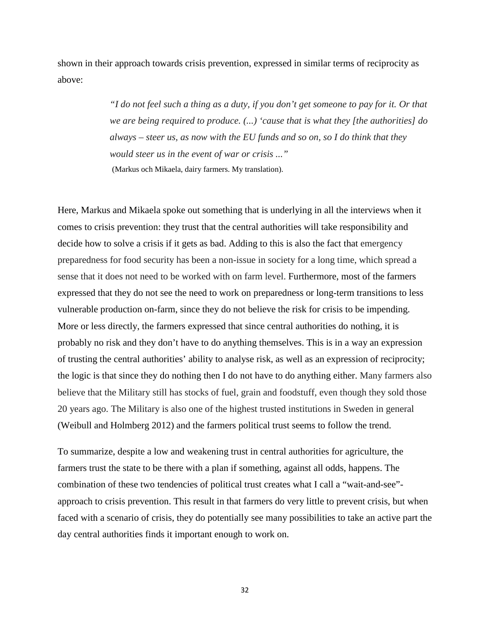shown in their approach towards crisis prevention, expressed in similar terms of reciprocity as above:

> *"I do not feel such a thing as a duty, if you don't get someone to pay for it. Or that we are being required to produce. (...) 'cause that is what they [the authorities] do always – steer us, as now with the EU funds and so on, so I do think that they would steer us in the event of war or crisis ..."* (Markus och Mikaela, dairy farmers. My translation).

Here, Markus and Mikaela spoke out something that is underlying in all the interviews when it comes to crisis prevention: they trust that the central authorities will take responsibility and decide how to solve a crisis if it gets as bad. Adding to this is also the fact that emergency preparedness for food security has been a non-issue in society for a long time, which spread a sense that it does not need to be worked with on farm level. Furthermore, most of the farmers expressed that they do not see the need to work on preparedness or long-term transitions to less vulnerable production on-farm, since they do not believe the risk for crisis to be impending. More or less directly, the farmers expressed that since central authorities do nothing, it is probably no risk and they don't have to do anything themselves. This is in a way an expression of trusting the central authorities' ability to analyse risk, as well as an expression of reciprocity; the logic is that since they do nothing then I do not have to do anything either. Many farmers also believe that the Military still has stocks of fuel, grain and foodstuff, even though they sold those 20 years ago. The Military is also one of the highest trusted institutions in Sweden in general (Weibull and Holmberg 2012) and the farmers political trust seems to follow the trend.

To summarize, despite a low and weakening trust in central authorities for agriculture, the farmers trust the state to be there with a plan if something, against all odds, happens. The combination of these two tendencies of political trust creates what I call a "wait-and-see" approach to crisis prevention. This result in that farmers do very little to prevent crisis, but when faced with a scenario of crisis, they do potentially see many possibilities to take an active part the day central authorities finds it important enough to work on.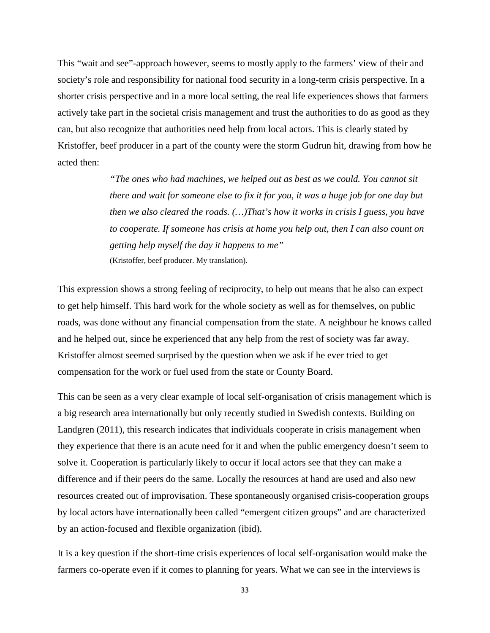This "wait and see"-approach however, seems to mostly apply to the farmers' view of their and society's role and responsibility for national food security in a long-term crisis perspective. In a shorter crisis perspective and in a more local setting, the real life experiences shows that farmers actively take part in the societal crisis management and trust the authorities to do as good as they can, but also recognize that authorities need help from local actors. This is clearly stated by Kristoffer, beef producer in a part of the county were the storm Gudrun hit, drawing from how he acted then:

> *"The ones who had machines, we helped out as best as we could. You cannot sit there and wait for someone else to fix it for you, it was a huge job for one day but then we also cleared the roads. (…)That's how it works in crisis I guess, you have to cooperate. If someone has crisis at home you help out, then I can also count on getting help myself the day it happens to me"* (Kristoffer, beef producer. My translation).

This expression shows a strong feeling of reciprocity, to help out means that he also can expect to get help himself. This hard work for the whole society as well as for themselves, on public roads, was done without any financial compensation from the state. A neighbour he knows called and he helped out, since he experienced that any help from the rest of society was far away. Kristoffer almost seemed surprised by the question when we ask if he ever tried to get compensation for the work or fuel used from the state or County Board.

This can be seen as a very clear example of local self-organisation of crisis management which is a big research area internationally but only recently studied in Swedish contexts. Building on Landgren (2011), this research indicates that individuals cooperate in crisis management when they experience that there is an acute need for it and when the public emergency doesn't seem to solve it. Cooperation is particularly likely to occur if local actors see that they can make a difference and if their peers do the same. Locally the resources at hand are used and also new resources created out of improvisation. These spontaneously organised crisis-cooperation groups by local actors have internationally been called "emergent citizen groups" and are characterized by an action-focused and flexible organization (ibid).

It is a key question if the short-time crisis experiences of local self-organisation would make the farmers co-operate even if it comes to planning for years. What we can see in the interviews is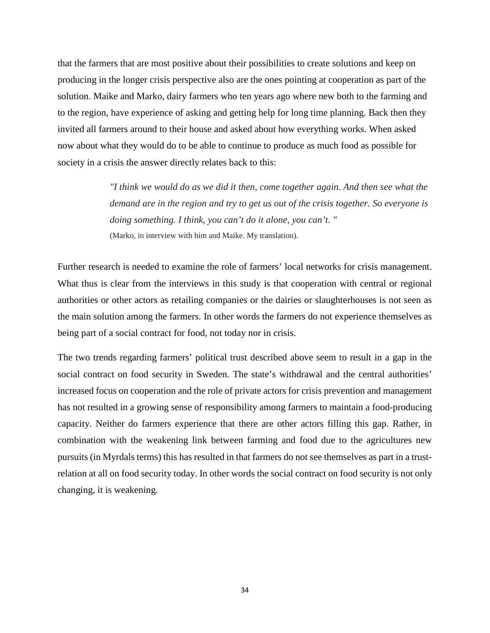that the farmers that are most positive about their possibilities to create solutions and keep on producing in the longer crisis perspective also are the ones pointing at cooperation as part of the solution. Maike and Marko, dairy farmers who ten years ago where new both to the farming and to the region, have experience of asking and getting help for long time planning. Back then they invited all farmers around to their house and asked about how everything works. When asked now about what they would do to be able to continue to produce as much food as possible for society in a crisis the answer directly relates back to this:

> *"I think we would do as we did it then, come together again. And then see what the demand are in the region and try to get us out of the crisis together. So everyone is doing something. I think, you can't do it alone, you can't. "* (Marko, in interview with him and Maike. My translation).

Further research is needed to examine the role of farmers' local networks for crisis management. What thus is clear from the interviews in this study is that cooperation with central or regional authorities or other actors as retailing companies or the dairies or slaughterhouses is not seen as the main solution among the farmers. In other words the farmers do not experience themselves as being part of a social contract for food, not today nor in crisis.

The two trends regarding farmers' political trust described above seem to result in a gap in the social contract on food security in Sweden. The state's withdrawal and the central authorities' increased focus on cooperation and the role of private actors for crisis prevention and management has not resulted in a growing sense of responsibility among farmers to maintain a food-producing capacity. Neither do farmers experience that there are other actors filling this gap. Rather, in combination with the weakening link between farming and food due to the agricultures new pursuits (in Myrdals terms) this has resulted in that farmers do not see themselves as part in a trustrelation at all on food security today. In other words the social contract on food security is not only changing, it is weakening.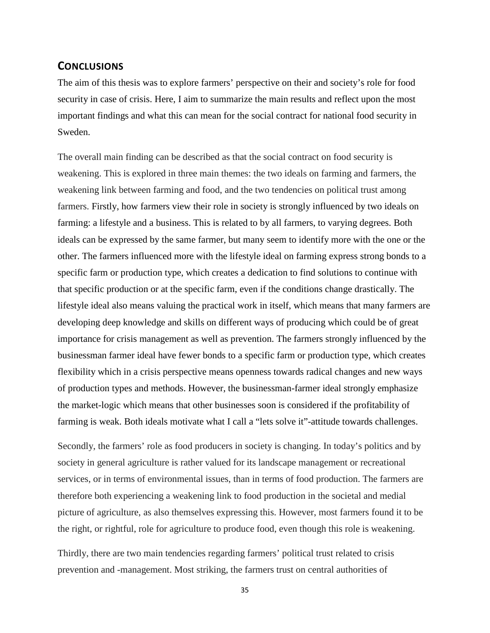#### <span id="page-40-0"></span>**CONCLUSIONS**

The aim of this thesis was to explore farmers' perspective on their and society's role for food security in case of crisis. Here, I aim to summarize the main results and reflect upon the most important findings and what this can mean for the social contract for national food security in Sweden.

The overall main finding can be described as that the social contract on food security is weakening. This is explored in three main themes: the two ideals on farming and farmers, the weakening link between farming and food, and the two tendencies on political trust among farmers. Firstly, how farmers view their role in society is strongly influenced by two ideals on farming: a lifestyle and a business. This is related to by all farmers, to varying degrees. Both ideals can be expressed by the same farmer, but many seem to identify more with the one or the other. The farmers influenced more with the lifestyle ideal on farming express strong bonds to a specific farm or production type, which creates a dedication to find solutions to continue with that specific production or at the specific farm, even if the conditions change drastically. The lifestyle ideal also means valuing the practical work in itself, which means that many farmers are developing deep knowledge and skills on different ways of producing which could be of great importance for crisis management as well as prevention. The farmers strongly influenced by the businessman farmer ideal have fewer bonds to a specific farm or production type, which creates flexibility which in a crisis perspective means openness towards radical changes and new ways of production types and methods. However, the businessman-farmer ideal strongly emphasize the market-logic which means that other businesses soon is considered if the profitability of farming is weak. Both ideals motivate what I call a "lets solve it"-attitude towards challenges.

Secondly, the farmers' role as food producers in society is changing. In today's politics and by society in general agriculture is rather valued for its landscape management or recreational services, or in terms of environmental issues, than in terms of food production. The farmers are therefore both experiencing a weakening link to food production in the societal and medial picture of agriculture, as also themselves expressing this. However, most farmers found it to be the right, or rightful, role for agriculture to produce food, even though this role is weakening.

Thirdly, there are two main tendencies regarding farmers' political trust related to crisis prevention and -management. Most striking, the farmers trust on central authorities of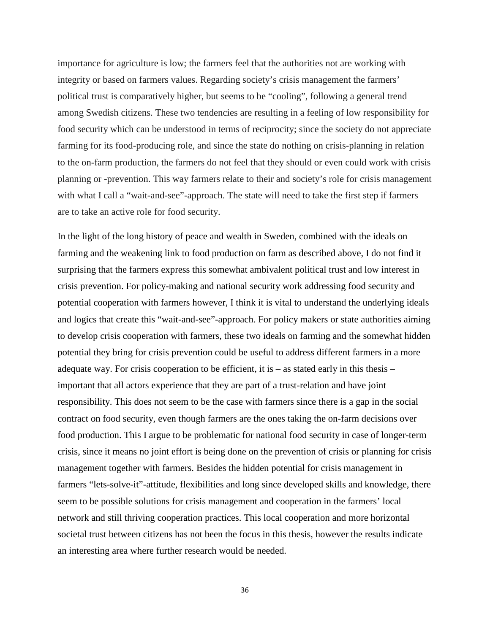importance for agriculture is low; the farmers feel that the authorities not are working with integrity or based on farmers values. Regarding society's crisis management the farmers' political trust is comparatively higher, but seems to be "cooling", following a general trend among Swedish citizens. These two tendencies are resulting in a feeling of low responsibility for food security which can be understood in terms of reciprocity; since the society do not appreciate farming for its food-producing role, and since the state do nothing on crisis-planning in relation to the on-farm production, the farmers do not feel that they should or even could work with crisis planning or -prevention. This way farmers relate to their and society's role for crisis management with what I call a "wait-and-see"-approach. The state will need to take the first step if farmers are to take an active role for food security.

In the light of the long history of peace and wealth in Sweden, combined with the ideals on farming and the weakening link to food production on farm as described above, I do not find it surprising that the farmers express this somewhat ambivalent political trust and low interest in crisis prevention. For policy-making and national security work addressing food security and potential cooperation with farmers however, I think it is vital to understand the underlying ideals and logics that create this "wait-and-see"-approach. For policy makers or state authorities aiming to develop crisis cooperation with farmers, these two ideals on farming and the somewhat hidden potential they bring for crisis prevention could be useful to address different farmers in a more adequate way. For crisis cooperation to be efficient, it is  $-$  as stated early in this thesis  $$ important that all actors experience that they are part of a trust-relation and have joint responsibility. This does not seem to be the case with farmers since there is a gap in the social contract on food security, even though farmers are the ones taking the on-farm decisions over food production. This I argue to be problematic for national food security in case of longer-term crisis, since it means no joint effort is being done on the prevention of crisis or planning for crisis management together with farmers. Besides the hidden potential for crisis management in farmers "lets-solve-it"-attitude, flexibilities and long since developed skills and knowledge, there seem to be possible solutions for crisis management and cooperation in the farmers' local network and still thriving cooperation practices. This local cooperation and more horizontal societal trust between citizens has not been the focus in this thesis, however the results indicate an interesting area where further research would be needed.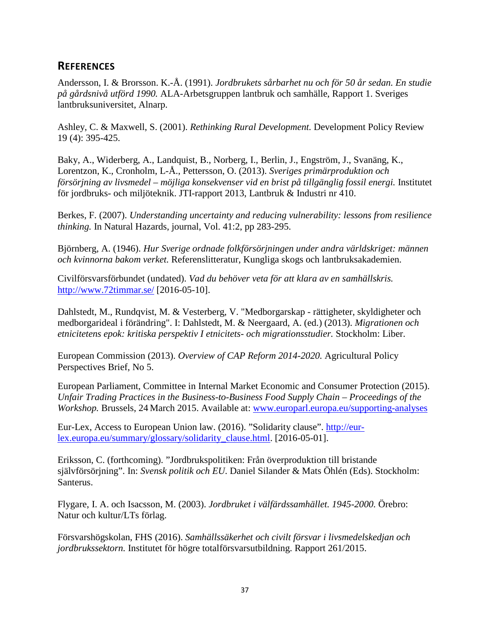### <span id="page-42-0"></span>**REFERENCES**

Andersson, I. & Brorsson. K.-Å. (1991). *Jordbrukets sårbarhet nu och för 50 år sedan. En studie på gårdsnivå utförd 1990.* ALA-Arbetsgruppen lantbruk och samhälle, Rapport 1. Sveriges lantbruksuniversitet, Alnarp.

Ashley, C. & Maxwell, S. (2001). *Rethinking Rural Development.* Development Policy Review 19 (4): 395-425.

Baky, A., Widerberg, A., Landquist, B., Norberg, I., Berlin, J., Engström, J., Svanäng, K., Lorentzon, K., Cronholm, L-Å., Pettersson, O. (2013). *Sveriges primärproduktion och försörjning av livsmedel – möjliga konsekvenser vid en brist på tillgänglig fossil energi.* Institutet för jordbruks- och miljöteknik. JTI-rapport 2013, Lantbruk & Industri nr 410.

Berkes, F. (2007). *Understanding uncertainty and reducing vulnerability: lessons from resilience thinking.* In Natural Hazards, journal, Vol. 41:2, pp 283-295.

Björnberg, A. (1946). *Hur Sverige ordnade folkförsörjningen under andra världskriget: männen och kvinnorna bakom verket.* Referenslitteratur, Kungliga skogs och lantbruksakademien.

Civilförsvarsförbundet (undated). *Vad du behöver veta för att klara av en samhällskris.*  <http://www.72timmar.se/> [2016-05-10].

Dahlstedt, M., Rundqvist, M. & Vesterberg, V. "Medborgarskap - rättigheter, skyldigheter och medborgarideal i förändring". I: Dahlstedt, M. & Neergaard, A. (ed.) (2013). *Migrationen och etnicitetens epok: kritiska perspektiv I etnicitets- och migrationsstudier.* Stockholm: Liber.

European Commission (2013). *Overview of CAP Reform 2014-2020.* Agricultural Policy Perspectives Brief, No 5.

European Parliament, Committee in Internal Market Economic and Consumer Protection (2015). *Unfair Trading Practices in the Business-to-Business Food Supply Chain – Proceedings of the Workshop.* Brussels, 24 March 2015. Available at: [www.europarl.europa.eu/supporting-analyses](http://www.europarl.europa.eu/supporting-analyses)

Eur-Lex, Access to European Union law. (2016). "Solidarity clause". [http://eur](http://eur-lex.europa.eu/summary/glossary/solidarity_clause.html)[lex.europa.eu/summary/glossary/solidarity\\_clause.html.](http://eur-lex.europa.eu/summary/glossary/solidarity_clause.html) [2016-05-01].

Eriksson, C. (forthcoming). "Jordbrukspolitiken: Från överproduktion till bristande självförsörjning". In: *Svensk politik och EU*. Daniel Silander & Mats Öhlén (Eds). Stockholm: Santerus.

Flygare, I. A. och Isacsson, M. (2003). *Jordbruket i välfärdssamhället. 1945-2000.* Örebro: Natur och kultur/LTs förlag.

Försvarshögskolan, FHS (2016). *Samhällssäkerhet och civilt försvar i livsmedelskedjan och jordbrukssektorn.* Institutet för högre totalförsvarsutbildning. Rapport 261/2015.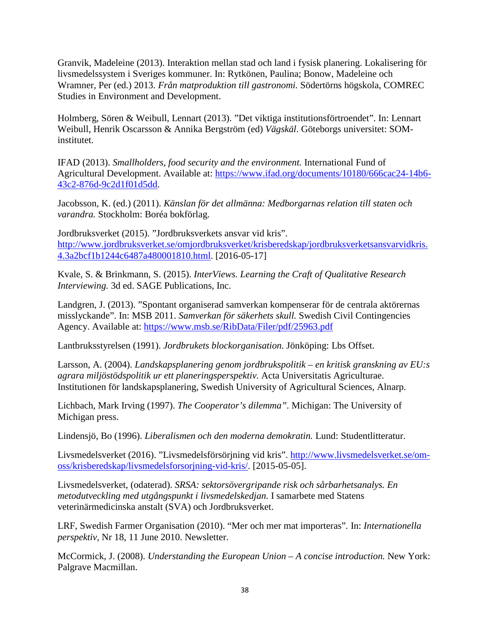Granvik, Madeleine (2013). Interaktion mellan stad och land i fysisk planering. Lokalisering för livsmedelssystem i Sveriges kommuner. In: Rytkönen, Paulina; Bonow, Madeleine och Wramner, Per (ed.) 2013. *Från matproduktion till gastronomi.* Södertörns högskola, COMREC Studies in Environment and Development.

Holmberg, Sören & Weibull, Lennart (2013). "Det viktiga institutionsförtroendet". In: Lennart Weibull, Henrik Oscarsson & Annika Bergström (ed) *Vägskäl*. Göteborgs universitet: SOMinstitutet.

IFAD (2013). *Smallholders, food security and the environment.* International Fund of Agricultural Development. Available at: [https://www.ifad.org/documents/10180/666cac24-14b6-](https://www.ifad.org/documents/10180/666cac24-14b6-43c2-876d-9c2d1f01d5dd) [43c2-876d-9c2d1f01d5dd.](https://www.ifad.org/documents/10180/666cac24-14b6-43c2-876d-9c2d1f01d5dd)

Jacobsson, K. (ed.) (2011). *Känslan för det allmänna: Medborgarnas relation till staten och varandra.* Stockholm: Boréa bokförlag.

Jordbruksverket (2015). "Jordbruksverkets ansvar vid kris". [http://www.jordbruksverket.se/omjordbruksverket/krisberedskap/jordbruksverketsansvarvidkris.](http://www.jordbruksverket.se/omjordbruksverket/krisberedskap/jordbruksverketsansvarvidkris.4.3a2bcf1b1244c6487a480001810.html) [4.3a2bcf1b1244c6487a480001810.html.](http://www.jordbruksverket.se/omjordbruksverket/krisberedskap/jordbruksverketsansvarvidkris.4.3a2bcf1b1244c6487a480001810.html) [2016-05-17]

Kvale, S. & Brinkmann, S. (2015). *InterViews. Learning the Craft of Qualitative Research Interviewing.* 3d ed. SAGE Publications, Inc.

Landgren, J. (2013). "Spontant organiserad samverkan kompenserar för de centrala aktörernas misslyckande". In: MSB 2011. *Samverkan för säkerhets skull.* Swedish Civil Contingencies Agency. Available at:<https://www.msb.se/RibData/Filer/pdf/25963.pdf>

Lantbruksstyrelsen (1991). *Jordbrukets blockorganisation.* Jönköping: Lbs Offset.

Larsson, A. (2004). *Landskapsplanering genom jordbrukspolitik – en kritisk granskning av EU:s agrara miljöstödspolitik ur ett planeringsperspektiv.* Acta Universitatis Agriculturae. Institutionen för landskapsplanering, Swedish University of Agricultural Sciences, Alnarp.

Lichbach, Mark Irving (1997). *The Cooperator's dilemma".* Michigan: The University of Michigan press.

Lindensjö, Bo (1996). *Liberalismen och den moderna demokratin.* Lund: Studentlitteratur.

Livsmedelsverket (2016). "Livsmedelsförsörjning vid kris". [http://www.livsmedelsverket.se/om](http://www.livsmedelsverket.se/om-oss/krisberedskap/livsmedelsforsorjning-vid-kris/)[oss/krisberedskap/livsmedelsforsorjning-vid-kris/.](http://www.livsmedelsverket.se/om-oss/krisberedskap/livsmedelsforsorjning-vid-kris/) [2015-05-05].

Livsmedelsverket, (odaterad). *SRSA: sektorsövergripande risk och sårbarhetsanalys. En metodutveckling med utgångspunkt i livsmedelskedjan.* I samarbete med Statens veterinärmedicinska anstalt (SVA) och Jordbruksverket.

LRF, Swedish Farmer Organisation (2010). "Mer och mer mat importeras"*.* In: *Internationella perspektiv*, Nr 18, 11 June 2010. Newsletter.

McCormick, J. (2008). *Understanding the European Union – A concise introduction.* New York: Palgrave Macmillan.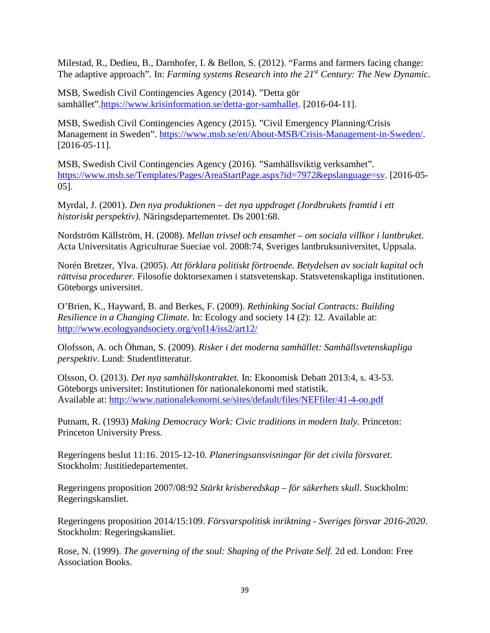Milestad, R., Dedieu, B., Darnhofer, I. & Bellon, S. (2012). "Farms and farmers facing change: The adaptive approach". In: *Farming systems Research into the 21st Century: The New Dynamic.*

MSB, Swedish Civil Contingencies Agency (2014). "Detta gör samhället"[.https://www.krisinformation.se/detta-gor-samhallet.](https://www.krisinformation.se/detta-gor-samhallet) [2016-04-11].

MSB, Swedish Civil Contingencies Agency (2015). "Civil Emergency Planning/Crisis Management in Sweden". [https://www.msb.se/en/About-MSB/Crisis-Management-in-Sweden/.](https://www.msb.se/en/About-MSB/Crisis-Management-in-Sweden/) [2016-05-11].

MSB, Swedish Civil Contingencies Agency (2016). "Samhällsviktig verksamhet". [https://www.msb.se/Templates/Pages/AreaStartPage.aspx?id=7972&epslanguage=sv.](https://www.msb.se/Templates/Pages/AreaStartPage.aspx?id=7972&epslanguage=sv) [2016-05- 05].

Myrdal, J. (2001). *Den nya produktionen – det nya uppdraget (Jordbrukets framtid i ett historiskt perspektiv).* Näringsdepartementet. Ds 2001:68.

Nordström Källström, H. (2008). *Mellan trivsel och ensamhet – om sociala villkor i lantbruket*. Acta Universitatis Agriculturae Sueciae vol. 2008:74, Sveriges lantbruksuniversitet, Uppsala.

Norén Bretzer, Ylva. (2005). *Att förklara politiskt förtroende. Betydelsen av socialt kapital och rättvisa procedurer.* Filosofie doktorsexamen i statsvetenskap. Statsvetenskapliga institutionen. Göteborgs universitet.

O'Brien, K., Hayward, B. and Berkes, F. (2009). *Rethinking Social Contracts: Building Resilience in a Changing Climate.* In: Ecology and society 14 (2): 12. Available at: <http://www.ecologyandsociety.org/vol14/iss2/art12/>

Olofsson, A. och Öhman, S. (2009). *Risker i det moderna samhället: Samhällsvetenskapliga perspektiv*. Lund: Studentlitteratur.

Olsson, O. (2013). *Det nya samhällskontraktet.* In: Ekonomisk Debatt 2013:4, s. 43-53. Göteborgs universitet: Institutionen för nationalekonomi med statistik. Available at:<http://www.nationalekonomi.se/sites/default/files/NEFfiler/41-4-oo.pdf>

Putnam, R. (1993) *Making Democracy Work: Civic traditions in modern Italy.* Princeton: Princeton University Press.

Regeringens beslut 11:16. 2015-12-10. *Planeringsansvisningar för det civila försvaret*. Stockholm: Justitiedepartementet.

Regeringens proposition 2007/08:92 *Stärkt krisberedskap – för säkerhets skull*. Stockholm: Regeringskansliet.

Regeringens proposition 2014/15:109. *Försvarspolitisk inriktning - Sveriges försvar 2016-2020*. Stockholm: Regeringskansliet.

Rose, N. (1999). *The governing of the soul: Shaping of the Private Self.* 2d ed. London: Free Association Books.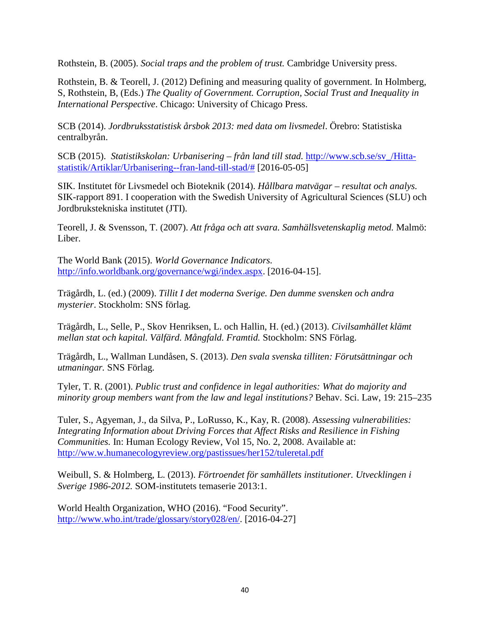Rothstein, B. (2005). *Social traps and the problem of trust.* Cambridge University press.

Rothstein, B. & Teorell, J. (2012) Defining and measuring quality of government. In Holmberg, S, Rothstein, B, (Eds.) *The Quality of Government. Corruption, Social Trust and Inequality in International Perspective*. Chicago: University of Chicago Press.

SCB (2014). *Jordbruksstatistisk årsbok 2013: med data om livsmedel*. Örebro: Statistiska centralbyrån.

SCB (2015). *Statistikskolan: Urbanisering – från land till stad.* [http://www.scb.se/sv\\_/Hitta](http://www.scb.se/sv_/Hitta-statistik/Artiklar/Urbanisering--fran-land-till-stad/)[statistik/Artiklar/Urbanisering--fran-land-till-stad/#](http://www.scb.se/sv_/Hitta-statistik/Artiklar/Urbanisering--fran-land-till-stad/) [2016-05-05]

SIK. Institutet för Livsmedel och Bioteknik (2014). *Hållbara matvägar – resultat och analys.* SIK-rapport 891. I cooperation with the Swedish University of Agricultural Sciences (SLU) och Jordbrukstekniska institutet (JTI).

Teorell, J. & Svensson, T. (2007). *Att fråga och att svara. Samhällsvetenskaplig metod.* Malmö: Liber.

The World Bank (2015). *World Governance Indicators.* [http://info.worldbank.org/governance/wgi/index.aspx.](http://info.worldbank.org/governance/wgi/index.aspx) [2016-04-15].

Trägårdh, L. (ed.) (2009). *Tillit I det moderna Sverige. Den dumme svensken och andra mysterier*. Stockholm: SNS förlag.

Trägårdh, L., Selle, P., Skov Henriksen, L. och Hallin, H. (ed.) (2013). *Civilsamhället klämt mellan stat och kapital. Välfärd. Mångfald. Framtid.* Stockholm: SNS Förlag.

Trägårdh, L., Wallman Lundåsen, S. (2013). *Den svala svenska tilliten: Förutsättningar och utmaningar.* SNS Förlag.

Tyler, T. R. (2001). *Public trust and confidence in legal authorities: What do majority and minority group members want from the law and legal institutions?* Behav. Sci. Law, 19: 215–235

Tuler, S., Agyeman, J., da Silva, P., LoRusso, K., Kay, R. (2008). *Assessing vulnerabilities: Integrating Information about Driving Forces that Affect Risks and Resilience in Fishing Communities.* In: Human Ecology Review, Vol 15, No. 2, 2008. Available at: <http://ww.w.humanecologyreview.org/pastissues/her152/tuleretal.pdf>

Weibull, S. & Holmberg, L. (2013). *Förtroendet för samhällets institutioner. Utvecklingen i Sverige 1986-2012.* SOM-institutets temaserie 2013:1.

World Health Organization, WHO (2016). "Food Security". [http://www.who.int/trade/glossary/story028/en/.](http://www.who.int/trade/glossary/story028/en/) [2016-04-27]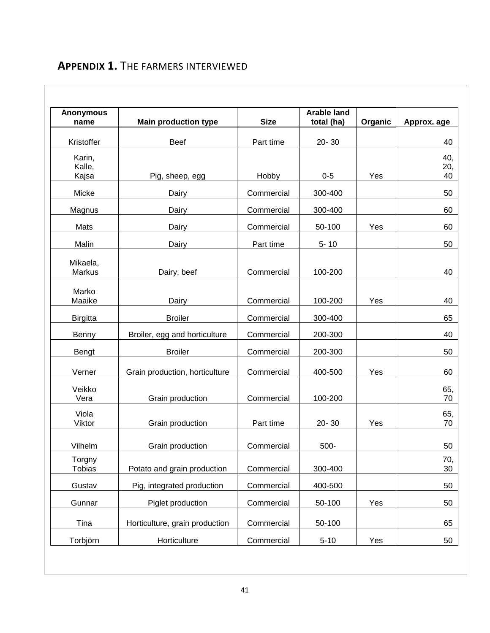## <span id="page-46-0"></span>**APPENDIX 1.** THE FARMERS INTERVIEWED

| <b>Anonymous</b><br>name  | <b>Main production type</b>    | <b>Size</b> | <b>Arable land</b><br>total (ha) | Organic | Approx. age |
|---------------------------|--------------------------------|-------------|----------------------------------|---------|-------------|
| Kristoffer                | <b>Beef</b>                    | Part time   | $20 - 30$                        |         | 40          |
| Karin,                    |                                |             |                                  |         | 40,         |
| Kalle,<br>Kajsa           | Pig, sheep, egg                | Hobby       | $0 - 5$                          | Yes     | 20,<br>40   |
| Micke                     | Dairy                          | Commercial  | 300-400                          |         | 50          |
| Magnus                    | Dairy                          | Commercial  | 300-400                          |         | 60          |
| Mats                      | Dairy                          | Commercial  | 50-100                           | Yes     | 60          |
| Malin                     | Dairy                          | Part time   | $5 - 10$                         |         | 50          |
| Mikaela,<br><b>Markus</b> | Dairy, beef                    | Commercial  | 100-200                          |         | 40          |
| Marko<br>Maaike           | Dairy                          | Commercial  | 100-200                          | Yes     | 40          |
| <b>Birgitta</b>           | <b>Broiler</b>                 | Commercial  | 300-400                          |         | 65          |
| Benny                     | Broiler, egg and horticulture  | Commercial  | 200-300                          |         | 40          |
| Bengt                     | <b>Broiler</b>                 | Commercial  | 200-300                          |         | 50          |
| Verner                    | Grain production, horticulture | Commercial  | 400-500                          | Yes     | 60          |
| Veikko<br>Vera            | Grain production               | Commercial  | 100-200                          |         | 65,<br>70   |
| Viola<br>Viktor           | Grain production               | Part time   | $20 - 30$                        | Yes     | 65,<br>70   |
| Vilhelm                   | Grain production               | Commercial  | 500-                             |         | 50          |
| Torgny<br>Tobias          | Potato and grain production    | Commercial  | 300-400                          |         | 70,<br>30   |
| Gustav                    | Pig, integrated production     | Commercial  | 400-500                          |         | 50          |
| Gunnar                    | Piglet production              | Commercial  | 50-100                           | Yes     | 50          |
| Tina                      | Horticulture, grain production | Commercial  | 50-100                           |         | 65          |
| Torbjörn                  | Horticulture                   | Commercial  | $5 - 10$                         | Yes     | 50          |